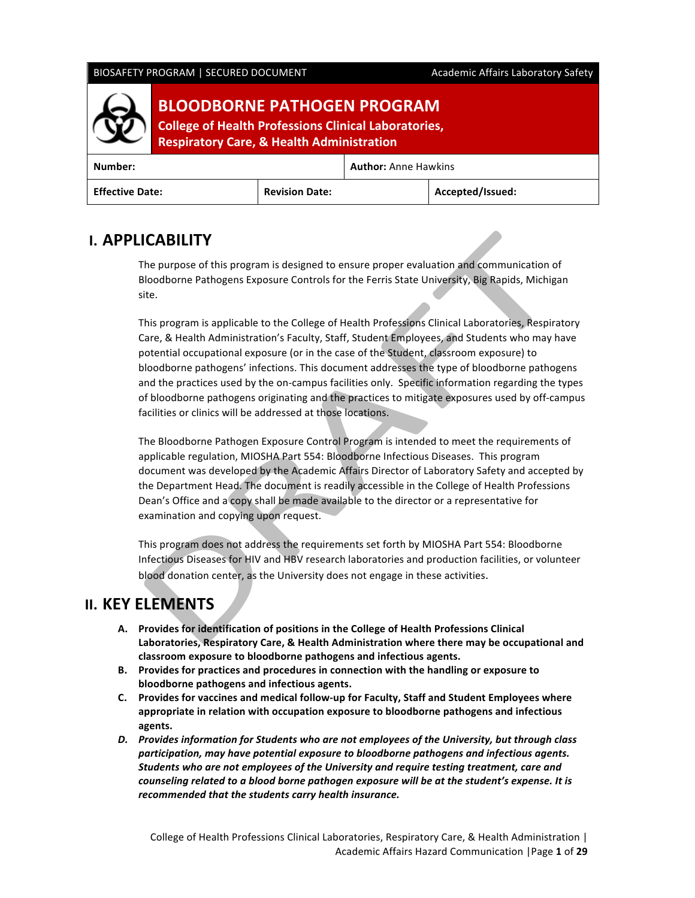### BIOSAFETY PROGRAM | SECURED DOCUMENT Academic Affairs Laboratory Safety



# **BLOODBORNE PATHOGEN PROGRAM**

**College of Health Professions Clinical Laboratories, Respiratory Care, & Health Administration** 

| Number:                |                       | <b>Author:</b> Anne Hawkins |                  |  |  |
|------------------------|-----------------------|-----------------------------|------------------|--|--|
| <b>Effective Date:</b> | <b>Revision Date:</b> |                             | Accepted/Issued: |  |  |

# **I. APPLICABILITY**

The purpose of this program is designed to ensure proper evaluation and communication of Bloodborne Pathogens Exposure Controls for the Ferris State University, Big Rapids, Michigan site.

This program is applicable to the College of Health Professions Clinical Laboratories, Respiratory Care, & Health Administration's Faculty, Staff, Student Employees, and Students who may have potential occupational exposure (or in the case of the Student, classroom exposure) to bloodborne pathogens' infections. This document addresses the type of bloodborne pathogens and the practices used by the on-campus facilities only. Specific information regarding the types of bloodborne pathogens originating and the practices to mitigate exposures used by off-campus facilities or clinics will be addressed at those locations.

The Bloodborne Pathogen Exposure Control Program is intended to meet the requirements of applicable regulation, MIOSHA Part 554: Bloodborne Infectious Diseases. This program document was developed by the Academic Affairs Director of Laboratory Safety and accepted by the Department Head. The document is readily accessible in the College of Health Professions Dean's Office and a copy shall be made available to the director or a representative for examination and copying upon request.

This program does not address the requirements set forth by MIOSHA Part 554: Bloodborne Infectious Diseases for HIV and HBV research laboratories and production facilities, or volunteer blood donation center, as the University does not engage in these activities.

# **II. KEY ELEMENTS**

- A. Provides for identification of positions in the College of Health Professions Clinical Laboratories, Respiratory Care, & Health Administration where there may be occupational and **classroom exposure to bloodborne pathogens and infectious agents.**
- B. Provides for practices and procedures in connection with the handling or exposure to **bloodborne pathogens and infectious agents.**
- **C.** Provides for vaccines and medical follow-up for Faculty, Staff and Student Employees where appropriate in relation with occupation exposure to bloodborne pathogens and infectious **agents.**
- D. Provides information for Students who are not employees of the University, but through class participation, may have potential exposure to bloodborne pathogens and infectious agents. Students who are not employees of the University and require testing treatment, care and *counseling related to a blood borne pathogen exposure will be at the student's expense. It is* recommended that the students carry health insurance.

College of Health Professions Clinical Laboratories, Respiratory Care, & Health Administration | Academic Affairs Hazard Communication |Page **1** of **29**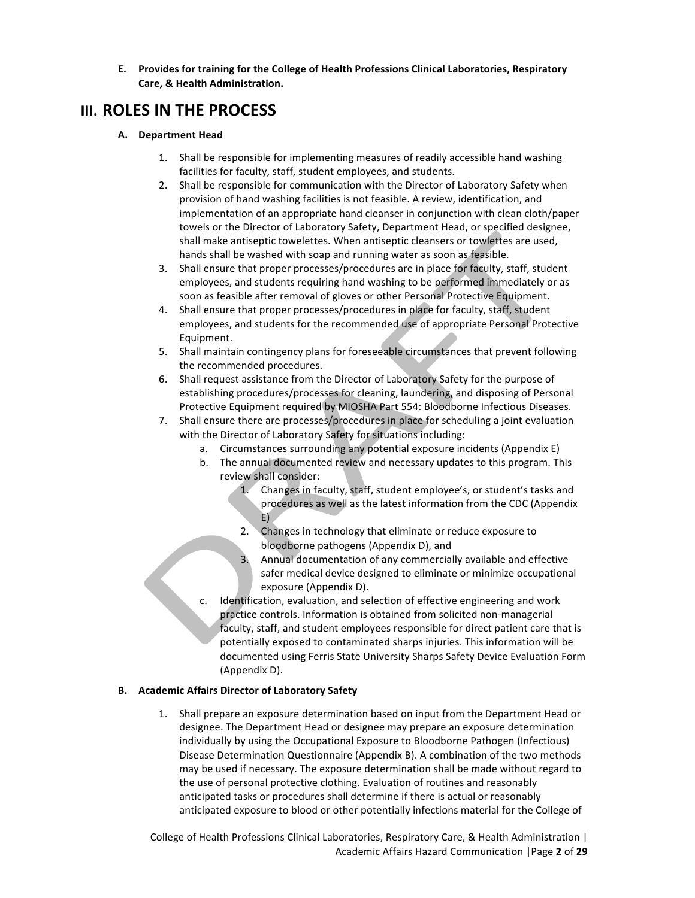**E.** Provides for training for the College of Health Professions Clinical Laboratories, Respiratory **Care, & Health Administration.**

# **III. ROLES IN THE PROCESS**

#### **A. Department Head**

- 1. Shall be responsible for implementing measures of readily accessible hand washing facilities for faculty, staff, student employees, and students.
- 2. Shall be responsible for communication with the Director of Laboratory Safety when provision of hand washing facilities is not feasible. A review, identification, and implementation of an appropriate hand cleanser in conjunction with clean cloth/paper towels or the Director of Laboratory Safety, Department Head, or specified designee, shall make antiseptic towelettes. When antiseptic cleansers or towlettes are used, hands shall be washed with soap and running water as soon as feasible.
- 3. Shall ensure that proper processes/procedures are in place for faculty, staff, student employees, and students requiring hand washing to be performed immediately or as soon as feasible after removal of gloves or other Personal Protective Equipment.
- 4. Shall ensure that proper processes/procedures in place for faculty, staff, student employees, and students for the recommended use of appropriate Personal Protective Equipment.
- 5. Shall maintain contingency plans for foreseeable circumstances that prevent following the recommended procedures.
- 6. Shall request assistance from the Director of Laboratory Safety for the purpose of establishing procedures/processes for cleaning, laundering, and disposing of Personal Protective Equipment required by MIOSHA Part 554: Bloodborne Infectious Diseases.
- 7. Shall ensure there are processes/procedures in place for scheduling a joint evaluation with the Director of Laboratory Safety for situations including:
	- a. Circumstances surrounding any potential exposure incidents (Appendix E)
	- b. The annual documented review and necessary updates to this program. This review shall consider:
		- 1. Changes in faculty, staff, student employee's, or student's tasks and procedures as well as the latest information from the CDC (Appendix E)
		- 2. Changes in technology that eliminate or reduce exposure to bloodborne pathogens (Appendix D), and
		- 3. Annual documentation of any commercially available and effective safer medical device designed to eliminate or minimize occupational exposure (Appendix D).
	- Identification, evaluation, and selection of effective engineering and work practice controls. Information is obtained from solicited non-managerial faculty, staff, and student employees responsible for direct patient care that is potentially exposed to contaminated sharps injuries. This information will be documented using Ferris State University Sharps Safety Device Evaluation Form (Appendix D).

### **B. Academic Affairs Director of Laboratory Safety**

1. Shall prepare an exposure determination based on input from the Department Head or designee. The Department Head or designee may prepare an exposure determination individually by using the Occupational Exposure to Bloodborne Pathogen (Infectious) Disease Determination Questionnaire (Appendix B). A combination of the two methods may be used if necessary. The exposure determination shall be made without regard to the use of personal protective clothing. Evaluation of routines and reasonably anticipated tasks or procedures shall determine if there is actual or reasonably anticipated exposure to blood or other potentially infections material for the College of

College of Health Professions Clinical Laboratories, Respiratory Care, & Health Administration | Academic Affairs Hazard Communication |Page **2** of **29**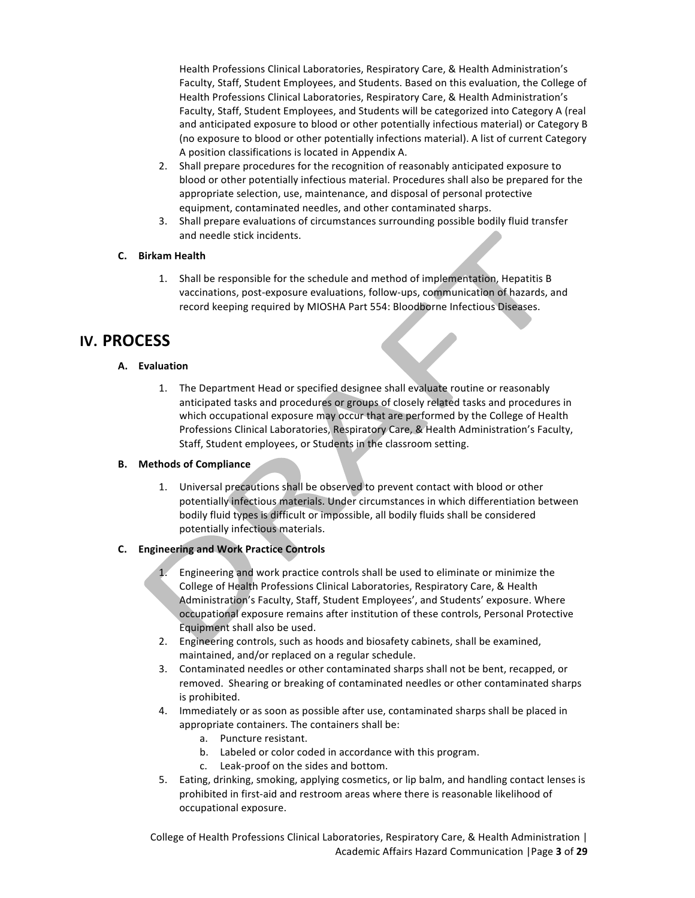Health Professions Clinical Laboratories, Respiratory Care, & Health Administration's Faculty, Staff, Student Employees, and Students. Based on this evaluation, the College of Health Professions Clinical Laboratories, Respiratory Care, & Health Administration's Faculty, Staff, Student Employees, and Students will be categorized into Category A (real and anticipated exposure to blood or other potentially infectious material) or Category B (no exposure to blood or other potentially infections material). A list of current Category A position classifications is located in Appendix A.

- 2. Shall prepare procedures for the recognition of reasonably anticipated exposure to blood or other potentially infectious material. Procedures shall also be prepared for the appropriate selection, use, maintenance, and disposal of personal protective equipment, contaminated needles, and other contaminated sharps.
- 3. Shall prepare evaluations of circumstances surrounding possible bodily fluid transfer and needle stick incidents.

## **C. Birkam Health**

1. Shall be responsible for the schedule and method of implementation, Hepatitis B vaccinations, post-exposure evaluations, follow-ups, communication of hazards, and record keeping required by MIOSHA Part 554: Bloodborne Infectious Diseases.

# **IV. PROCESS**

## **A. Evaluation**

1. The Department Head or specified designee shall evaluate routine or reasonably anticipated tasks and procedures or groups of closely related tasks and procedures in which occupational exposure may occur that are performed by the College of Health Professions Clinical Laboratories, Respiratory Care, & Health Administration's Faculty, Staff, Student employees, or Students in the classroom setting.

# **B.** Methods of Compliance

1. Universal precautions shall be observed to prevent contact with blood or other potentially infectious materials. Under circumstances in which differentiation between bodily fluid types is difficult or impossible, all bodily fluids shall be considered potentially infectious materials.

# **C. Engineering and Work Practice Controls**

- 1. Engineering and work practice controls shall be used to eliminate or minimize the College of Health Professions Clinical Laboratories, Respiratory Care, & Health Administration's Faculty, Staff, Student Employees', and Students' exposure. Where occupational exposure remains after institution of these controls, Personal Protective Equipment shall also be used.
- 2. Engineering controls, such as hoods and biosafety cabinets, shall be examined, maintained, and/or replaced on a regular schedule.
- 3. Contaminated needles or other contaminated sharps shall not be bent, recapped, or removed. Shearing or breaking of contaminated needles or other contaminated sharps is prohibited.
- 4. Immediately or as soon as possible after use, contaminated sharps shall be placed in appropriate containers. The containers shall be:
	- a. Puncture resistant.
	- b. Labeled or color coded in accordance with this program.
	- c. Leak-proof on the sides and bottom.
- 5. Eating, drinking, smoking, applying cosmetics, or lip balm, and handling contact lenses is prohibited in first-aid and restroom areas where there is reasonable likelihood of occupational exposure.

College of Health Professions Clinical Laboratories, Respiratory Care, & Health Administration | Academic Affairs Hazard Communication |Page **3** of **29**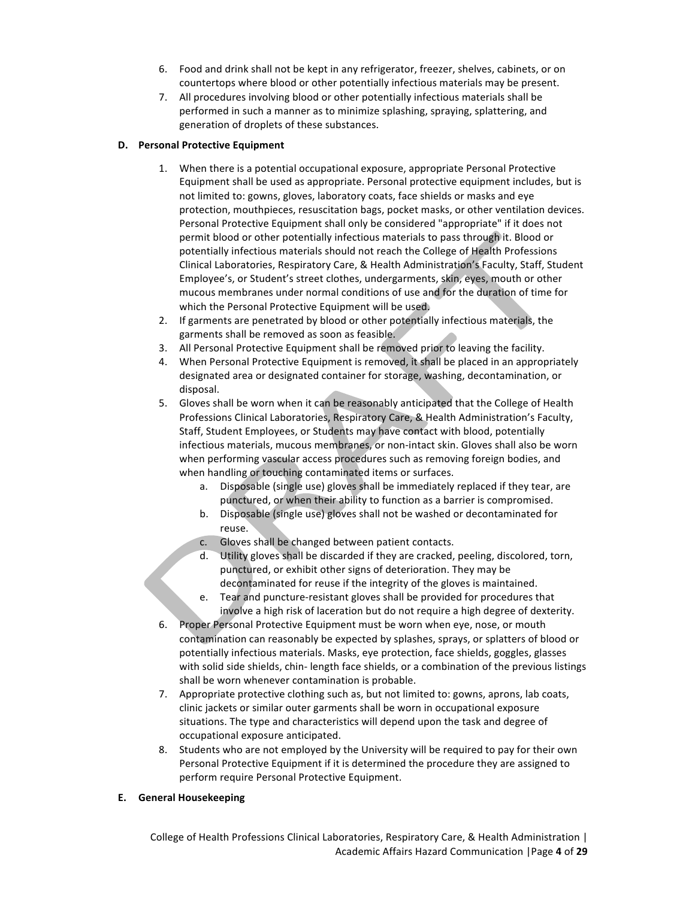- 6. Food and drink shall not be kept in any refrigerator, freezer, shelves, cabinets, or on countertops where blood or other potentially infectious materials may be present.
- 7. All procedures involving blood or other potentially infectious materials shall be performed in such a manner as to minimize splashing, spraying, splattering, and generation of droplets of these substances.

#### **D. Personal Protective Equipment**

- 1. When there is a potential occupational exposure, appropriate Personal Protective Equipment shall be used as appropriate. Personal protective equipment includes, but is not limited to: gowns, gloves, laboratory coats, face shields or masks and eye protection, mouthpieces, resuscitation bags, pocket masks, or other ventilation devices. Personal Protective Equipment shall only be considered "appropriate" if it does not permit blood or other potentially infectious materials to pass through it. Blood or potentially infectious materials should not reach the College of Health Professions Clinical Laboratories, Respiratory Care, & Health Administration's Faculty, Staff, Student Employee's, or Student's street clothes, undergarments, skin, eyes, mouth or other mucous membranes under normal conditions of use and for the duration of time for which the Personal Protective Equipment will be used.
- 2. If garments are penetrated by blood or other potentially infectious materials, the garments shall be removed as soon as feasible.
- 3. All Personal Protective Equipment shall be removed prior to leaving the facility.
- 4. When Personal Protective Equipment is removed, it shall be placed in an appropriately designated area or designated container for storage, washing, decontamination, or disposal.
- 5. Gloves shall be worn when it can be reasonably anticipated that the College of Health Professions Clinical Laboratories, Respiratory Care, & Health Administration's Faculty, Staff, Student Employees, or Students may have contact with blood, potentially infectious materials, mucous membranes, or non-intact skin. Gloves shall also be worn when performing vascular access procedures such as removing foreign bodies, and when handling or touching contaminated items or surfaces.
	- a. Disposable (single use) gloves shall be immediately replaced if they tear, are punctured, or when their ability to function as a barrier is compromised.
	- b. Disposable (single use) gloves shall not be washed or decontaminated for reuse.
	- c. Gloves shall be changed between patient contacts.
	- d. Utility gloves shall be discarded if they are cracked, peeling, discolored, torn, punctured, or exhibit other signs of deterioration. They may be decontaminated for reuse if the integrity of the gloves is maintained.
	- e. Tear and puncture-resistant gloves shall be provided for procedures that involve a high risk of laceration but do not require a high degree of dexterity.
- 6. Proper Personal Protective Equipment must be worn when eye, nose, or mouth contamination can reasonably be expected by splashes, sprays, or splatters of blood or potentially infectious materials. Masks, eye protection, face shields, goggles, glasses with solid side shields, chin- length face shields, or a combination of the previous listings shall be worn whenever contamination is probable.
- 7. Appropriate protective clothing such as, but not limited to: gowns, aprons, lab coats, clinic jackets or similar outer garments shall be worn in occupational exposure situations. The type and characteristics will depend upon the task and degree of occupational exposure anticipated.
- 8. Students who are not employed by the University will be required to pay for their own Personal Protective Equipment if it is determined the procedure they are assigned to perform require Personal Protective Equipment.

#### **E. General Housekeeping**

College of Health Professions Clinical Laboratories, Respiratory Care, & Health Administration | Academic Affairs Hazard Communication |Page **4** of **29**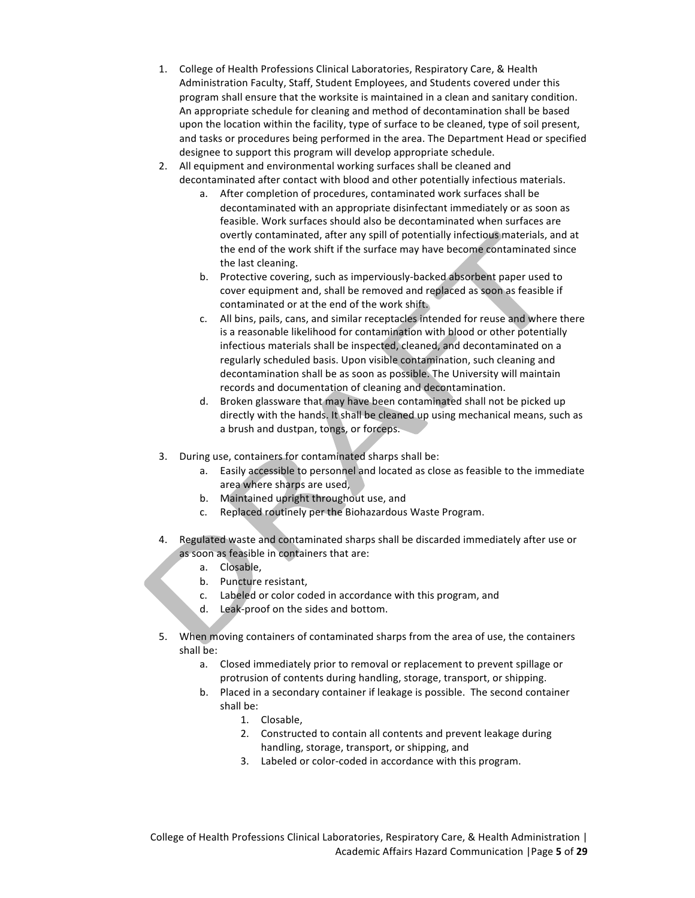- 1. College of Health Professions Clinical Laboratories, Respiratory Care, & Health Administration Faculty, Staff, Student Employees, and Students covered under this program shall ensure that the worksite is maintained in a clean and sanitary condition. An appropriate schedule for cleaning and method of decontamination shall be based upon the location within the facility, type of surface to be cleaned, type of soil present, and tasks or procedures being performed in the area. The Department Head or specified designee to support this program will develop appropriate schedule.
- 2. All equipment and environmental working surfaces shall be cleaned and decontaminated after contact with blood and other potentially infectious materials.
	- a. After completion of procedures, contaminated work surfaces shall be decontaminated with an appropriate disinfectant immediately or as soon as feasible. Work surfaces should also be decontaminated when surfaces are overtly contaminated, after any spill of potentially infectious materials, and at the end of the work shift if the surface may have become contaminated since the last cleaning.
	- b. Protective covering, such as imperviously-backed absorbent paper used to cover equipment and, shall be removed and replaced as soon as feasible if contaminated or at the end of the work shift.
	- c. All bins, pails, cans, and similar receptacles intended for reuse and where there is a reasonable likelihood for contamination with blood or other potentially infectious materials shall be inspected, cleaned, and decontaminated on a regularly scheduled basis. Upon visible contamination, such cleaning and decontamination shall be as soon as possible. The University will maintain records and documentation of cleaning and decontamination.
	- d. Broken glassware that may have been contaminated shall not be picked up directly with the hands. It shall be cleaned up using mechanical means, such as a brush and dustpan, tongs, or forceps.
- 3. During use, containers for contaminated sharps shall be:
	- a. Easily accessible to personnel and located as close as feasible to the immediate area where sharps are used,
	- b. Maintained upright throughout use, and
	- c. Replaced routinely per the Biohazardous Waste Program.
- 4. Regulated waste and contaminated sharps shall be discarded immediately after use or as soon as feasible in containers that are:
	- a. Closable,
	- b. Puncture resistant,
	- c. Labeled or color coded in accordance with this program, and
	- d. Leak-proof on the sides and bottom.
- 5. When moving containers of contaminated sharps from the area of use, the containers shall be:
	- a. Closed immediately prior to removal or replacement to prevent spillage or protrusion of contents during handling, storage, transport, or shipping.
	- b. Placed in a secondary container if leakage is possible. The second container shall be:
		- 1. Closable,
		- 2. Constructed to contain all contents and prevent leakage during handling, storage, transport, or shipping, and
		- 3. Labeled or color-coded in accordance with this program.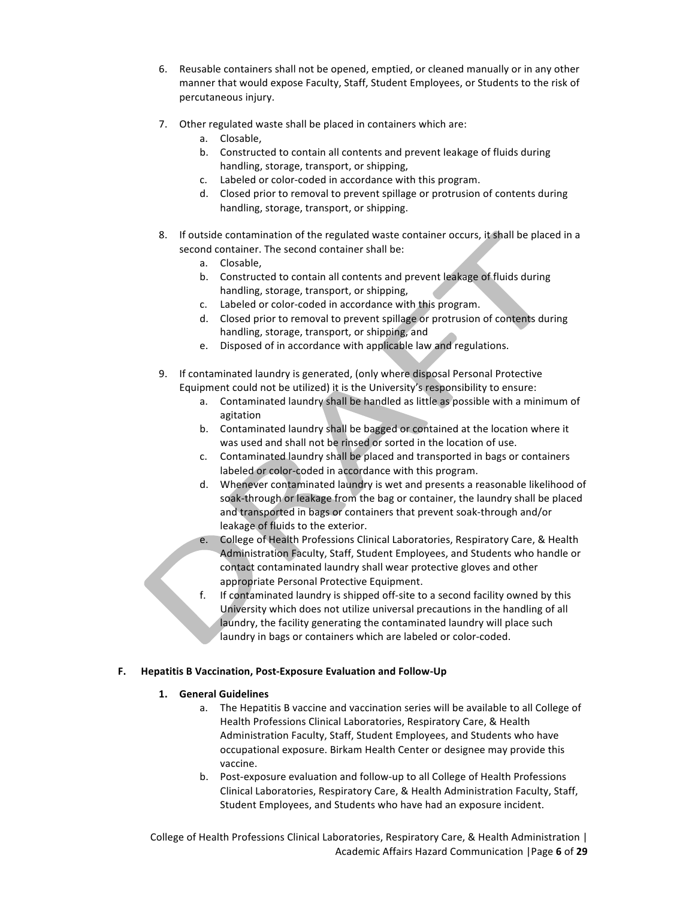- 6. Reusable containers shall not be opened, emptied, or cleaned manually or in any other manner that would expose Faculty, Staff, Student Employees, or Students to the risk of percutaneous injury.
- 7. Other regulated waste shall be placed in containers which are:
	- a. Closable,
	- b. Constructed to contain all contents and prevent leakage of fluids during handling, storage, transport, or shipping,
	- c. Labeled or color-coded in accordance with this program.
	- d. Closed prior to removal to prevent spillage or protrusion of contents during handling, storage, transport, or shipping.
- 8. If outside contamination of the regulated waste container occurs, it shall be placed in a second container. The second container shall be:
	- a. Closable,
	- b. Constructed to contain all contents and prevent leakage of fluids during handling, storage, transport, or shipping,
	- c. Labeled or color-coded in accordance with this program.
	- d. Closed prior to removal to prevent spillage or protrusion of contents during handling, storage, transport, or shipping, and
	- e. Disposed of in accordance with applicable law and regulations.
- 9. If contaminated laundry is generated, (only where disposal Personal Protective Equipment could not be utilized) it is the University's responsibility to ensure:
	- a. Contaminated laundry shall be handled as little as possible with a minimum of agitation
	- b. Contaminated laundry shall be bagged or contained at the location where it was used and shall not be rinsed or sorted in the location of use.
	- c. Contaminated laundry shall be placed and transported in bags or containers labeled or color-coded in accordance with this program.
	- d. Whenever contaminated laundry is wet and presents a reasonable likelihood of soak-through or leakage from the bag or container, the laundry shall be placed and transported in bags or containers that prevent soak-through and/or leakage of fluids to the exterior.
	- e. College of Health Professions Clinical Laboratories, Respiratory Care, & Health Administration Faculty, Staff, Student Employees, and Students who handle or contact contaminated laundry shall wear protective gloves and other appropriate Personal Protective Equipment.
	- f. If contaminated laundry is shipped off-site to a second facility owned by this University which does not utilize universal precautions in the handling of all laundry, the facility generating the contaminated laundry will place such laundry in bags or containers which are labeled or color-coded.

### **F. Hepatitis B Vaccination, Post-Exposure Evaluation and Follow-Up**

### **1. General Guidelines**

- a. The Hepatitis B vaccine and vaccination series will be available to all College of Health Professions Clinical Laboratories, Respiratory Care, & Health Administration Faculty, Staff, Student Employees, and Students who have occupational exposure. Birkam Health Center or designee may provide this vaccine.
- b. Post-exposure evaluation and follow-up to all College of Health Professions Clinical Laboratories, Respiratory Care, & Health Administration Faculty, Staff, Student Employees, and Students who have had an exposure incident.

College of Health Professions Clinical Laboratories, Respiratory Care, & Health Administration | Academic Affairs Hazard Communication |Page **6** of **29**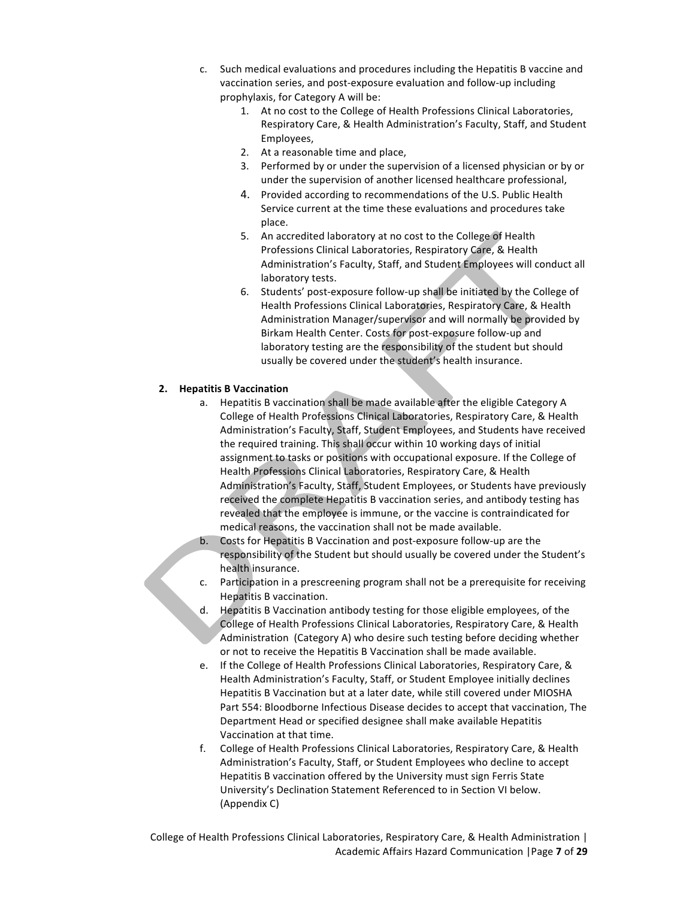- c. Such medical evaluations and procedures including the Hepatitis B vaccine and vaccination series, and post-exposure evaluation and follow-up including prophylaxis, for Category A will be:
	- 1. At no cost to the College of Health Professions Clinical Laboratories, Respiratory Care, & Health Administration's Faculty, Staff, and Student Employees,
	- 2. At a reasonable time and place,
	- 3. Performed by or under the supervision of a licensed physician or by or under the supervision of another licensed healthcare professional,
	- 4. Provided according to recommendations of the U.S. Public Health Service current at the time these evaluations and procedures take place.
	- 5. An accredited laboratory at no cost to the College of Health Professions Clinical Laboratories, Respiratory Care, & Health Administration's Faculty, Staff, and Student Employees will conduct all laboratory tests.
	- 6. Students' post-exposure follow-up shall be initiated by the College of Health Professions Clinical Laboratories, Respiratory Care, & Health Administration Manager/supervisor and will normally be provided by Birkam Health Center. Costs for post-exposure follow-up and laboratory testing are the responsibility of the student but should usually be covered under the student's health insurance.

### **2. Hepatitis B Vaccination**

- a. Hepatitis B vaccination shall be made available after the eligible Category A College of Health Professions Clinical Laboratories, Respiratory Care, & Health Administration's Faculty, Staff, Student Employees, and Students have received the required training. This shall occur within 10 working days of initial assignment to tasks or positions with occupational exposure. If the College of Health Professions Clinical Laboratories, Respiratory Care, & Health Administration's Faculty, Staff, Student Employees, or Students have previously received the complete Hepatitis B vaccination series, and antibody testing has revealed that the employee is immune, or the vaccine is contraindicated for medical reasons, the vaccination shall not be made available.
- b. Costs for Hepatitis B Vaccination and post-exposure follow-up are the responsibility of the Student but should usually be covered under the Student's health insurance.
- c. Participation in a prescreening program shall not be a prerequisite for receiving Hepatitis B vaccination.
- d. Hepatitis B Vaccination antibody testing for those eligible employees, of the College of Health Professions Clinical Laboratories, Respiratory Care, & Health Administration (Category A) who desire such testing before deciding whether or not to receive the Hepatitis B Vaccination shall be made available.
- e. If the College of Health Professions Clinical Laboratories, Respiratory Care, & Health Administration's Faculty, Staff, or Student Employee initially declines Hepatitis B Vaccination but at a later date, while still covered under MIOSHA Part 554: Bloodborne Infectious Disease decides to accept that vaccination, The Department Head or specified designee shall make available Hepatitis Vaccination at that time.
- f. College of Health Professions Clinical Laboratories, Respiratory Care, & Health Administration's Faculty, Staff, or Student Employees who decline to accept Hepatitis B vaccination offered by the University must sign Ferris State University's Declination Statement Referenced to in Section VI below. (Appendix C)

College of Health Professions Clinical Laboratories, Respiratory Care, & Health Administration | Academic Affairs Hazard Communication |Page **7** of **29**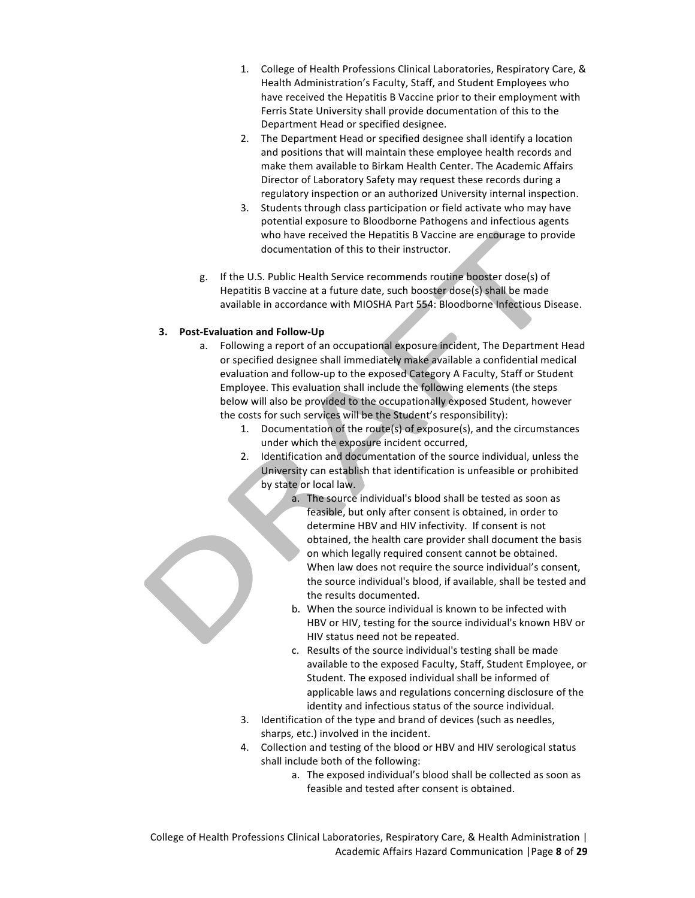- 1. College of Health Professions Clinical Laboratories, Respiratory Care, & Health Administration's Faculty, Staff, and Student Employees who have received the Hepatitis B Vaccine prior to their employment with Ferris State University shall provide documentation of this to the Department Head or specified designee.
- 2. The Department Head or specified designee shall identify a location and positions that will maintain these employee health records and make them available to Birkam Health Center. The Academic Affairs Director of Laboratory Safety may request these records during a regulatory inspection or an authorized University internal inspection.
- 3. Students through class participation or field activate who may have potential exposure to Bloodborne Pathogens and infectious agents who have received the Hepatitis B Vaccine are encourage to provide documentation of this to their instructor.
- g. If the U.S. Public Health Service recommends routine booster dose(s) of Hepatitis B vaccine at a future date, such booster dose(s) shall be made available in accordance with MIOSHA Part 554: Bloodborne Infectious Disease.

## **3. Post-Evaluation and Follow-Up**

- a. Following a report of an occupational exposure incident, The Department Head or specified designee shall immediately make available a confidential medical evaluation and follow-up to the exposed Category A Faculty, Staff or Student Employee. This evaluation shall include the following elements (the steps below will also be provided to the occupationally exposed Student, however the costs for such services will be the Student's responsibility):
	- 1. Documentation of the route(s) of exposure(s), and the circumstances under which the exposure incident occurred,
	- 2. Identification and documentation of the source individual, unless the University can establish that identification is unfeasible or prohibited by state or local law.
		- a. The source individual's blood shall be tested as soon as feasible, but only after consent is obtained, in order to determine HBV and HIV infectivity. If consent is not obtained, the health care provider shall document the basis on which legally required consent cannot be obtained. When law does not require the source individual's consent, the source individual's blood, if available, shall be tested and the results documented.
		- b. When the source individual is known to be infected with HBV or HIV, testing for the source individual's known HBV or HIV status need not be repeated.
		- c. Results of the source individual's testing shall be made available to the exposed Faculty, Staff, Student Employee, or Student. The exposed individual shall be informed of applicable laws and regulations concerning disclosure of the identity and infectious status of the source individual.
	- 3. Identification of the type and brand of devices (such as needles, sharps, etc.) involved in the incident.
	- 4. Collection and testing of the blood or HBV and HIV serological status shall include both of the following:
		- a. The exposed individual's blood shall be collected as soon as feasible and tested after consent is obtained.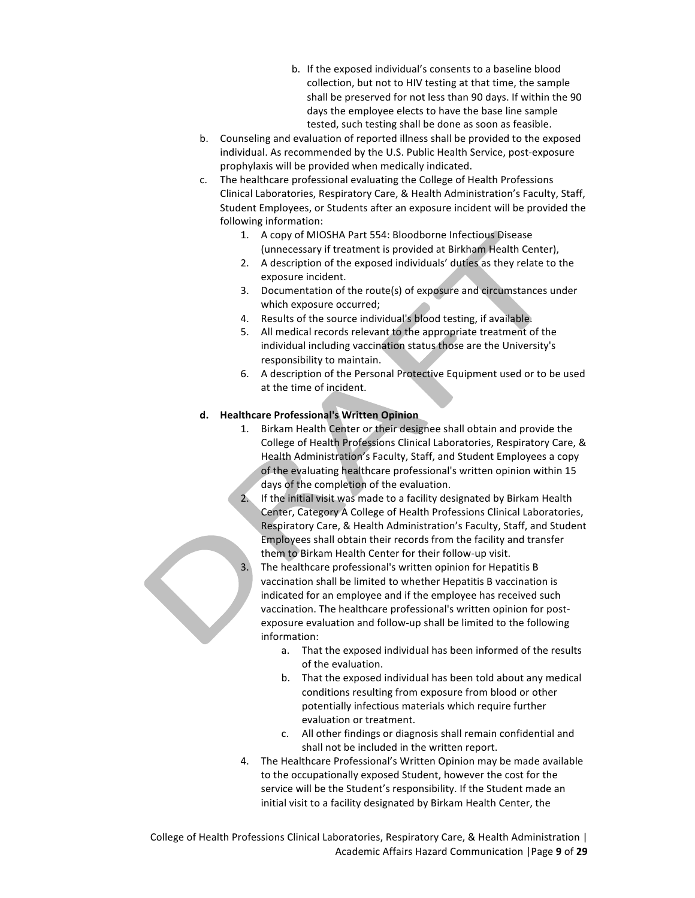- b. If the exposed individual's consents to a baseline blood collection, but not to HIV testing at that time, the sample shall be preserved for not less than 90 days. If within the 90 days the employee elects to have the base line sample tested, such testing shall be done as soon as feasible.
- b. Counseling and evaluation of reported illness shall be provided to the exposed individual. As recommended by the U.S. Public Health Service, post-exposure prophylaxis will be provided when medically indicated.
- c. The healthcare professional evaluating the College of Health Professions Clinical Laboratories, Respiratory Care, & Health Administration's Faculty, Staff, Student Employees, or Students after an exposure incident will be provided the following information:
	- 1. A copy of MIOSHA Part 554: Bloodborne Infectious Disease (unnecessary if treatment is provided at Birkham Health Center),
	- 2. A description of the exposed individuals' duties as they relate to the exposure incident.
	- 3. Documentation of the route(s) of exposure and circumstances under which exposure occurred;
	- 4. Results of the source individual's blood testing, if available.
	- 5. All medical records relevant to the appropriate treatment of the individual including vaccination status those are the University's responsibility to maintain.
	- 6. A description of the Personal Protective Equipment used or to be used at the time of incident.

### **d. Healthcare Professional's Written Opinion**

- 1. Birkam Health Center or their designee shall obtain and provide the College of Health Professions Clinical Laboratories, Respiratory Care, & Health Administration's Faculty, Staff, and Student Employees a copy of the evaluating healthcare professional's written opinion within 15 days of the completion of the evaluation.
- 2. If the initial visit was made to a facility designated by Birkam Health Center, Category A College of Health Professions Clinical Laboratories, Respiratory Care, & Health Administration's Faculty, Staff, and Student Employees shall obtain their records from the facility and transfer them to Birkam Health Center for their follow-up visit.
- 3. The healthcare professional's written opinion for Hepatitis B vaccination shall be limited to whether Hepatitis B vaccination is indicated for an employee and if the employee has received such vaccination. The healthcare professional's written opinion for postexposure evaluation and follow-up shall be limited to the following information:
	- a. That the exposed individual has been informed of the results of the evaluation.
	- b. That the exposed individual has been told about any medical conditions resulting from exposure from blood or other potentially infectious materials which require further evaluation or treatment.
	- c. All other findings or diagnosis shall remain confidential and shall not be included in the written report.
- 4. The Healthcare Professional's Written Opinion may be made available to the occupationally exposed Student, however the cost for the service will be the Student's responsibility. If the Student made an initial visit to a facility designated by Birkam Health Center, the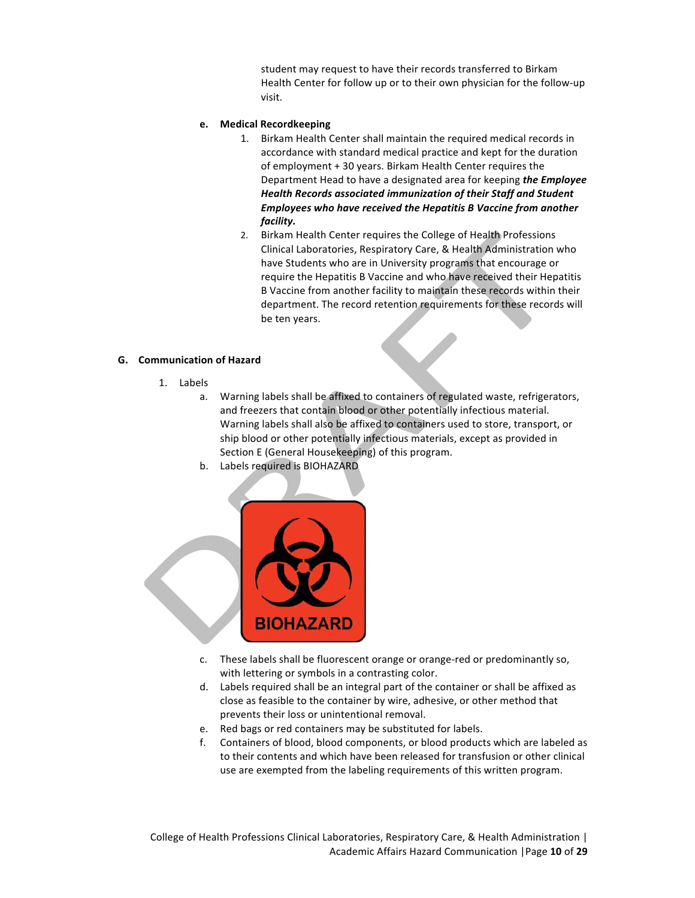student may request to have their records transferred to Birkam Health Center for follow up or to their own physician for the follow-up visit.

#### **e. Medical Recordkeeping**

- 1. Birkam Health Center shall maintain the required medical records in accordance with standard medical practice and kept for the duration of employment + 30 years. Birkam Health Center requires the Department Head to have a designated area for keeping *the Employee Health Records associated immunization of their Staff and Student Employees* who have received the Hepatitis B Vaccine from another *facility.*
- 2. Birkam Health Center requires the College of Health Professions Clinical Laboratories, Respiratory Care, & Health Administration who have Students who are in University programs that encourage or require the Hepatitis B Vaccine and who have received their Hepatitis B Vaccine from another facility to maintain these records within their department. The record retention requirements for these records will be ten years.

#### **G. Communication of Hazard**

- 1. Labels
	- a. Warning labels shall be affixed to containers of regulated waste, refrigerators, and freezers that contain blood or other potentially infectious material. Warning labels shall also be affixed to containers used to store, transport, or ship blood or other potentially infectious materials, except as provided in Section E (General Housekeeping) of this program.
	- b. Labels required is BIOHAZARD



- c. These labels shall be fluorescent orange or orange-red or predominantly so, with lettering or symbols in a contrasting color.
- d. Labels required shall be an integral part of the container or shall be affixed as close as feasible to the container by wire, adhesive, or other method that prevents their loss or unintentional removal.
- e. Red bags or red containers may be substituted for labels.
- f. Containers of blood, blood components, or blood products which are labeled as to their contents and which have been released for transfusion or other clinical use are exempted from the labeling requirements of this written program.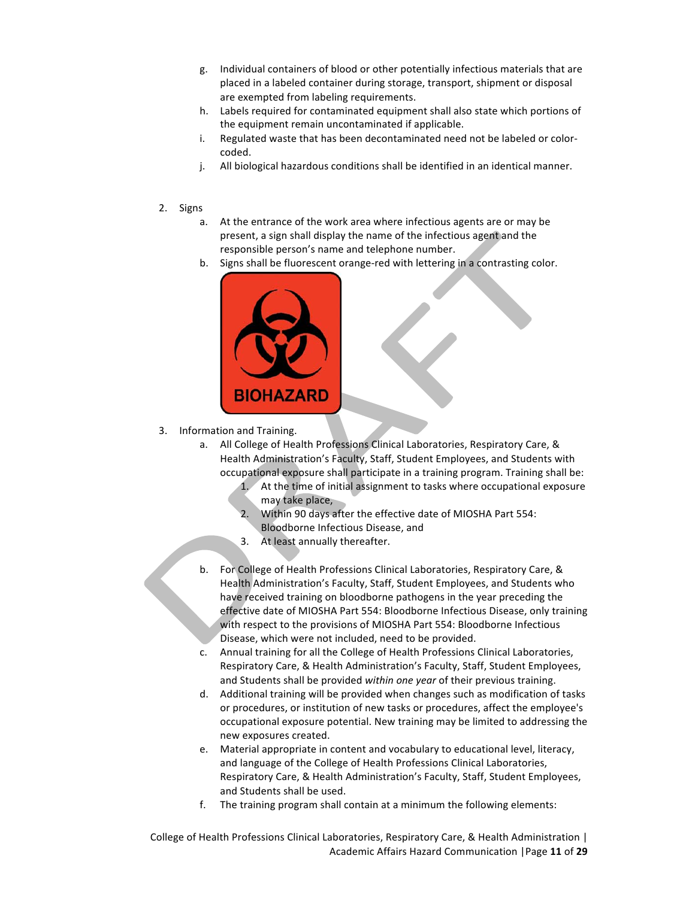- g. Individual containers of blood or other potentially infectious materials that are placed in a labeled container during storage, transport, shipment or disposal are exempted from labeling requirements.
- h. Labels required for contaminated equipment shall also state which portions of the equipment remain uncontaminated if applicable.
- i. Regulated waste that has been decontaminated need not be labeled or colorcoded.
- j. All biological hazardous conditions shall be identified in an identical manner.
- 2. Signs
	- a. At the entrance of the work area where infectious agents are or may be present, a sign shall display the name of the infectious agent and the responsible person's name and telephone number.
	- b. Signs shall be fluorescent orange-red with lettering in a contrasting color.



3. Information and Training.

- a. All College of Health Professions Clinical Laboratories, Respiratory Care, & Health Administration's Faculty, Staff, Student Employees, and Students with occupational exposure shall participate in a training program. Training shall be:
	- 1. At the time of initial assignment to tasks where occupational exposure may take place,
	- 2. Within 90 days after the effective date of MIOSHA Part 554: Bloodborne Infectious Disease, and
	- 3. At least annually thereafter.
- b. For College of Health Professions Clinical Laboratories, Respiratory Care, & Health Administration's Faculty, Staff, Student Employees, and Students who have received training on bloodborne pathogens in the year preceding the effective date of MIOSHA Part 554: Bloodborne Infectious Disease, only training with respect to the provisions of MIOSHA Part 554: Bloodborne Infectious Disease, which were not included, need to be provided.
- c. Annual training for all the College of Health Professions Clinical Laboratories, Respiratory Care, & Health Administration's Faculty, Staff, Student Employees, and Students shall be provided within one year of their previous training.
- d. Additional training will be provided when changes such as modification of tasks or procedures, or institution of new tasks or procedures, affect the employee's occupational exposure potential. New training may be limited to addressing the new exposures created.
- e. Material appropriate in content and vocabulary to educational level, literacy, and language of the College of Health Professions Clinical Laboratories, Respiratory Care, & Health Administration's Faculty, Staff, Student Employees, and Students shall be used.
- f. The training program shall contain at a minimum the following elements:

College of Health Professions Clinical Laboratories, Respiratory Care, & Health Administration | Academic Affairs Hazard Communication |Page **11** of **29**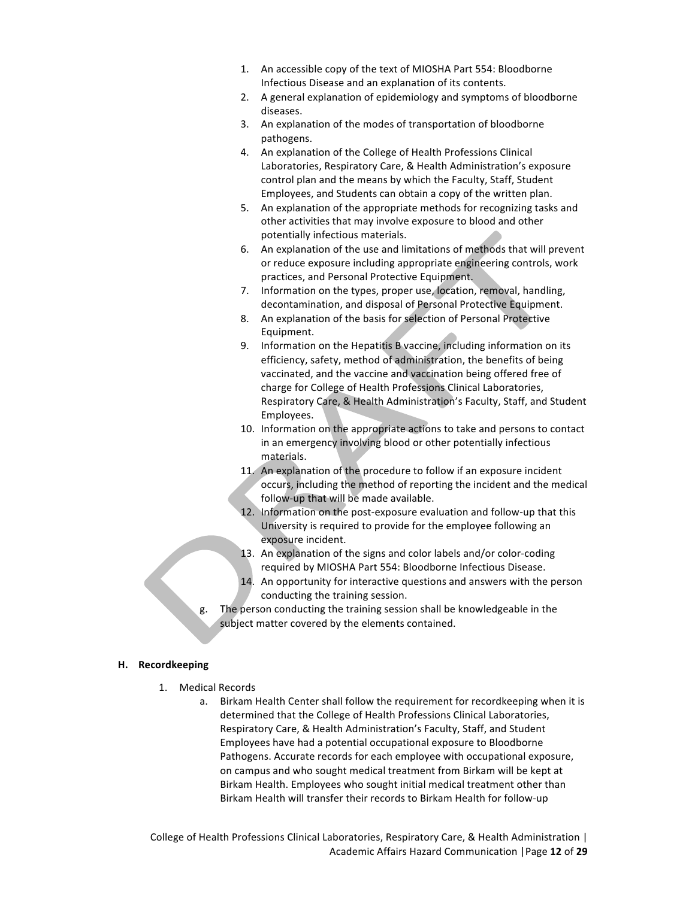- 1. An accessible copy of the text of MIOSHA Part 554: Bloodborne Infectious Disease and an explanation of its contents.
- 2. A general explanation of epidemiology and symptoms of bloodborne diseases.
- 3. An explanation of the modes of transportation of bloodborne pathogens.
- 4. An explanation of the College of Health Professions Clinical Laboratories, Respiratory Care, & Health Administration's exposure control plan and the means by which the Faculty, Staff, Student Employees, and Students can obtain a copy of the written plan.
- 5. An explanation of the appropriate methods for recognizing tasks and other activities that may involve exposure to blood and other potentially infectious materials.
- 6. An explanation of the use and limitations of methods that will prevent or reduce exposure including appropriate engineering controls, work practices, and Personal Protective Equipment.
- 7. Information on the types, proper use, location, removal, handling, decontamination, and disposal of Personal Protective Equipment.
- 8. An explanation of the basis for selection of Personal Protective Equipment.
- 9. Information on the Hepatitis B vaccine, including information on its efficiency, safety, method of administration, the benefits of being vaccinated, and the vaccine and vaccination being offered free of charge for College of Health Professions Clinical Laboratories, Respiratory Care, & Health Administration's Faculty, Staff, and Student Employees.
- 10. Information on the appropriate actions to take and persons to contact in an emergency involving blood or other potentially infectious materials.
- 11. An explanation of the procedure to follow if an exposure incident occurs, including the method of reporting the incident and the medical follow-up that will be made available.
- 12. Information on the post-exposure evaluation and follow-up that this University is required to provide for the employee following an exposure incident.
- 13. An explanation of the signs and color labels and/or color-coding required by MIOSHA Part 554: Bloodborne Infectious Disease.
- 14. An opportunity for interactive questions and answers with the person conducting the training session.
- The person conducting the training session shall be knowledgeable in the subject matter covered by the elements contained.

### **H. Recordkeeping**

- 1. Medical Records
	- a. Birkam Health Center shall follow the requirement for recordkeeping when it is determined that the College of Health Professions Clinical Laboratories, Respiratory Care, & Health Administration's Faculty, Staff, and Student Employees have had a potential occupational exposure to Bloodborne Pathogens. Accurate records for each employee with occupational exposure, on campus and who sought medical treatment from Birkam will be kept at Birkam Health. Employees who sought initial medical treatment other than Birkam Health will transfer their records to Birkam Health for follow-up

College of Health Professions Clinical Laboratories, Respiratory Care, & Health Administration | Academic Affairs Hazard Communication |Page **12** of **29**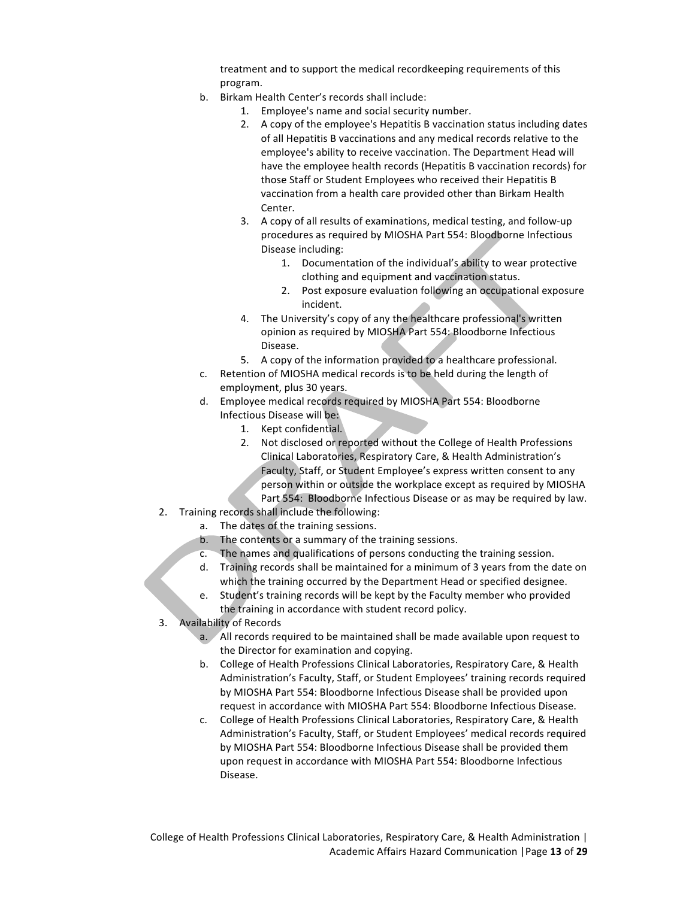treatment and to support the medical recordkeeping requirements of this program.

- b. Birkam Health Center's records shall include:
	- 1. Employee's name and social security number.
	- 2. A copy of the employee's Hepatitis B vaccination status including dates of all Hepatitis B vaccinations and any medical records relative to the employee's ability to receive vaccination. The Department Head will have the employee health records (Hepatitis B vaccination records) for those Staff or Student Employees who received their Hepatitis B vaccination from a health care provided other than Birkam Health Center.
	- 3. A copy of all results of examinations, medical testing, and follow-up procedures as required by MIOSHA Part 554: Bloodborne Infectious Disease including:
		- 1. Documentation of the individual's ability to wear protective clothing and equipment and vaccination status.
		- 2. Post exposure evaluation following an occupational exposure incident.
	- 4. The University's copy of any the healthcare professional's written opinion as required by MIOSHA Part 554: Bloodborne Infectious Disease.
	- 5. A copy of the information provided to a healthcare professional.
- c. Retention of MIOSHA medical records is to be held during the length of employment, plus 30 years.
- d. Employee medical records required by MIOSHA Part 554: Bloodborne Infectious Disease will be:
	- 1. Kept confidential.
	- 2. Not disclosed or reported without the College of Health Professions Clinical Laboratories, Respiratory Care, & Health Administration's Faculty, Staff, or Student Employee's express written consent to any person within or outside the workplace except as required by MIOSHA Part 554: Bloodborne Infectious Disease or as may be required by law.
- 2. Training records shall include the following:
	- a. The dates of the training sessions.
	- b. The contents or a summary of the training sessions.
	- c. The names and qualifications of persons conducting the training session.
	- d. Training records shall be maintained for a minimum of 3 years from the date on which the training occurred by the Department Head or specified designee.
	- Student's training records will be kept by the Faculty member who provided the training in accordance with student record policy.
- 3. Availability of Records
	- a. All records required to be maintained shall be made available upon request to the Director for examination and copying.
	- b. College of Health Professions Clinical Laboratories, Respiratory Care, & Health Administration's Faculty, Staff, or Student Employees' training records required by MIOSHA Part 554: Bloodborne Infectious Disease shall be provided upon request in accordance with MIOSHA Part 554: Bloodborne Infectious Disease.
	- c. College of Health Professions Clinical Laboratories, Respiratory Care, & Health Administration's Faculty, Staff, or Student Employees' medical records required by MIOSHA Part 554: Bloodborne Infectious Disease shall be provided them upon request in accordance with MIOSHA Part 554: Bloodborne Infectious Disease.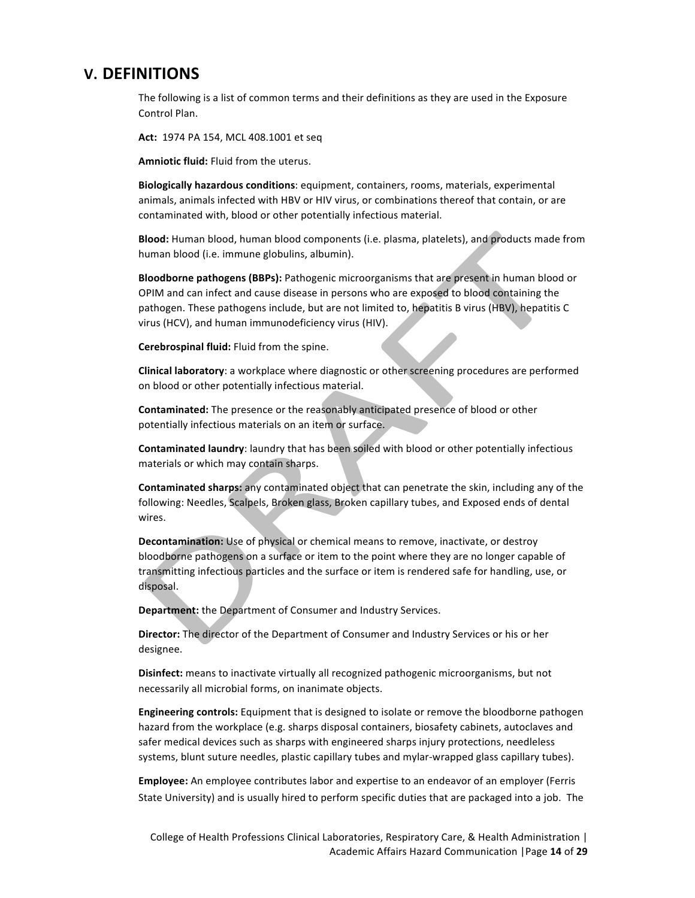# **V. DEFINITIONS**

The following is a list of common terms and their definitions as they are used in the Exposure Control Plan.

**Act:** 1974 PA 154, MCL 408.1001 et seq

Amniotic fluid: Fluid from the uterus.

**Biologically hazardous conditions**: equipment, containers, rooms, materials, experimental animals, animals infected with HBV or HIV virus, or combinations thereof that contain, or are contaminated with, blood or other potentially infectious material.

**Blood:** Human blood, human blood components (i.e. plasma, platelets), and products made from human blood (i.e. immune globulins, albumin).

**Bloodborne pathogens (BBPs):** Pathogenic microorganisms that are present in human blood or OPIM and can infect and cause disease in persons who are exposed to blood containing the pathogen. These pathogens include, but are not limited to, hepatitis B virus (HBV), hepatitis C virus (HCV), and human immunodeficiency virus (HIV).

**Cerebrospinal fluid:** Fluid from the spine.

**Clinical laboratory**: a workplace where diagnostic or other screening procedures are performed on blood or other potentially infectious material.

**Contaminated:** The presence or the reasonably anticipated presence of blood or other potentially infectious materials on an item or surface.

**Contaminated laundry**: laundry that has been soiled with blood or other potentially infectious materials or which may contain sharps.

**Contaminated sharps:** any contaminated object that can penetrate the skin, including any of the following: Needles, Scalpels, Broken glass, Broken capillary tubes, and Exposed ends of dental wires.

**Decontamination:** Use of physical or chemical means to remove, inactivate, or destroy bloodborne pathogens on a surface or item to the point where they are no longer capable of transmitting infectious particles and the surface or item is rendered safe for handling, use, or disposal.

**Department:** the Department of Consumer and Industry Services.

**Director:** The director of the Department of Consumer and Industry Services or his or her designee.

**Disinfect:** means to inactivate virtually all recognized pathogenic microorganisms, but not necessarily all microbial forms, on inanimate objects.

**Engineering controls:** Equipment that is designed to isolate or remove the bloodborne pathogen hazard from the workplace (e.g. sharps disposal containers, biosafety cabinets, autoclaves and safer medical devices such as sharps with engineered sharps injury protections, needleless systems, blunt suture needles, plastic capillary tubes and mylar-wrapped glass capillary tubes).

**Employee:** An employee contributes labor and expertise to an endeavor of an employer (Ferris State University) and is usually hired to perform specific duties that are packaged into a job. The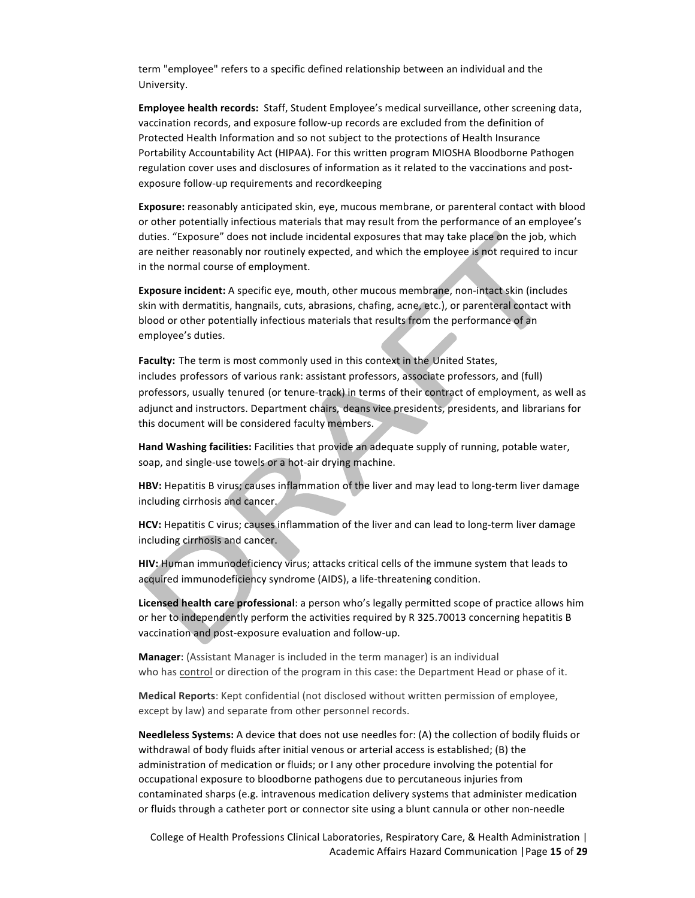term "employee" refers to a specific defined relationship between an individual and the University.

**Employee health records:** Staff, Student Employee's medical surveillance, other screening data, vaccination records, and exposure follow-up records are excluded from the definition of Protected Health Information and so not subject to the protections of Health Insurance Portability Accountability Act (HIPAA). For this written program MIOSHA Bloodborne Pathogen regulation cover uses and disclosures of information as it related to the vaccinations and postexposure follow-up requirements and recordkeeping

**Exposure:** reasonably anticipated skin, eye, mucous membrane, or parenteral contact with blood or other potentially infectious materials that may result from the performance of an employee's duties. "Exposure" does not include incidental exposures that may take place on the job, which are neither reasonably nor routinely expected, and which the employee is not required to incur in the normal course of employment.

**Exposure incident:** A specific eye, mouth, other mucous membrane, non-intact skin (includes skin with dermatitis, hangnails, cuts, abrasions, chafing, acne, etc.), or parenteral contact with blood or other potentially infectious materials that results from the performance of an employee's duties.

Faculty: The term is most commonly used in this context in the United States, includes professors of various rank: assistant professors, associate professors, and (full) professors, usually tenured (or tenure-track) in terms of their contract of employment, as well as adjunct and instructors. Department chairs, deans vice presidents, presidents, and librarians for this document will be considered faculty members.

Hand Washing facilities: Facilities that provide an adequate supply of running, potable water, soap, and single-use towels or a hot-air drying machine.

HBV: Hepatitis B virus; causes inflammation of the liver and may lead to long-term liver damage including cirrhosis and cancer.

HCV: Hepatitis C virus; causes inflammation of the liver and can lead to long-term liver damage including cirrhosis and cancer.

**HIV:** Human immunodeficiency virus; attacks critical cells of the immune system that leads to acquired immunodeficiency syndrome (AIDS), a life-threatening condition.

Licensed health care professional: a person who's legally permitted scope of practice allows him or her to independently perform the activities required by R 325.70013 concerning hepatitis B vaccination and post-exposure evaluation and follow-up.

**Manager:** (Assistant Manager is included in the term manager) is an individual who has control or direction of the program in this case: the Department Head or phase of it.

**Medical Reports**: Kept confidential (not disclosed without written permission of employee, except by law) and separate from other personnel records.

Needleless Systems: A device that does not use needles for: (A) the collection of bodily fluids or withdrawal of body fluids after initial venous or arterial access is established; (B) the administration of medication or fluids; or I any other procedure involving the potential for occupational exposure to bloodborne pathogens due to percutaneous injuries from contaminated sharps (e.g. intravenous medication delivery systems that administer medication or fluids through a catheter port or connector site using a blunt cannula or other non-needle

College of Health Professions Clinical Laboratories, Respiratory Care, & Health Administration | Academic Affairs Hazard Communication |Page **15** of **29**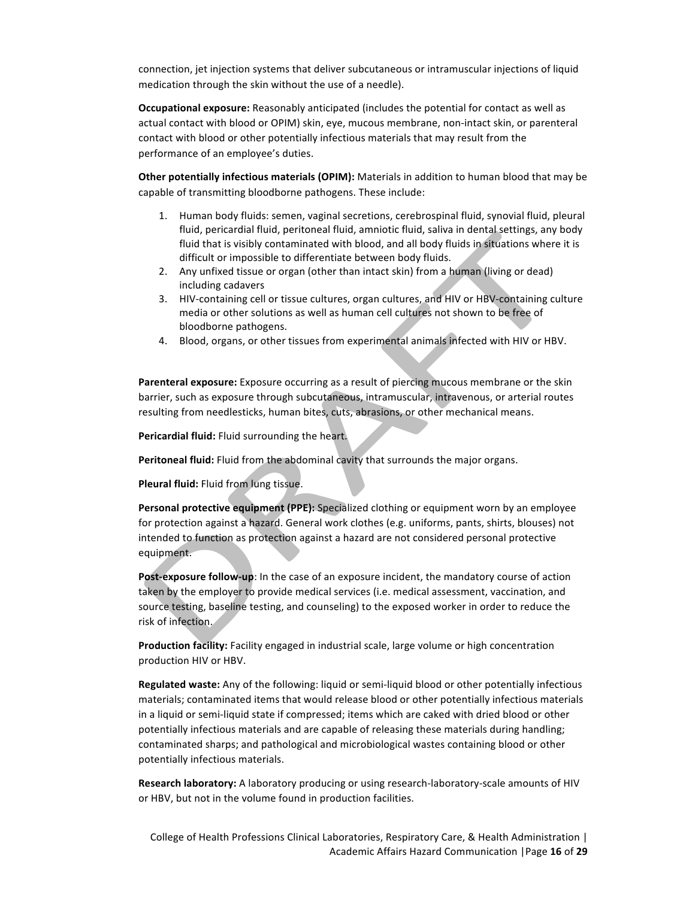connection, jet injection systems that deliver subcutaneous or intramuscular injections of liquid medication through the skin without the use of a needle).

**Occupational exposure:** Reasonably anticipated (includes the potential for contact as well as actual contact with blood or OPIM) skin, eye, mucous membrane, non-intact skin, or parenteral contact with blood or other potentially infectious materials that may result from the performance of an employee's duties.

**Other potentially infectious materials (OPIM):** Materials in addition to human blood that may be capable of transmitting bloodborne pathogens. These include:

- 1. Human body fluids: semen, vaginal secretions, cerebrospinal fluid, synovial fluid, pleural fluid, pericardial fluid, peritoneal fluid, amniotic fluid, saliva in dental settings, any body fluid that is visibly contaminated with blood, and all body fluids in situations where it is difficult or impossible to differentiate between body fluids.
- 2. Any unfixed tissue or organ (other than intact skin) from a human (living or dead) including cadavers
- 3. HIV-containing cell or tissue cultures, organ cultures, and HIV or HBV-containing culture media or other solutions as well as human cell cultures not shown to be free of bloodborne pathogens.
- 4. Blood, organs, or other tissues from experimental animals infected with HIV or HBV.

**Parenteral exposure:** Exposure occurring as a result of piercing mucous membrane or the skin barrier, such as exposure through subcutaneous, intramuscular, intravenous, or arterial routes resulting from needlesticks, human bites, cuts, abrasions, or other mechanical means.

Pericardial fluid: Fluid surrounding the heart.

Peritoneal fluid: Fluid from the abdominal cavity that surrounds the major organs.

**Pleural fluid:** Fluid from lung tissue.

**Personal protective equipment (PPE):** Specialized clothing or equipment worn by an employee for protection against a hazard. General work clothes (e.g. uniforms, pants, shirts, blouses) not intended to function as protection against a hazard are not considered personal protective equipment.

**Post-exposure follow-up**: In the case of an exposure incident, the mandatory course of action taken by the employer to provide medical services (i.e. medical assessment, vaccination, and source testing, baseline testing, and counseling) to the exposed worker in order to reduce the risk of infection.

**Production facility:** Facility engaged in industrial scale, large volume or high concentration production HIV or HBV.

Regulated waste: Any of the following: liquid or semi-liquid blood or other potentially infectious materials; contaminated items that would release blood or other potentially infectious materials in a liquid or semi-liquid state if compressed; items which are caked with dried blood or other potentially infectious materials and are capable of releasing these materials during handling; contaminated sharps; and pathological and microbiological wastes containing blood or other potentially infectious materials.

**Research laboratory:** A laboratory producing or using research-laboratory-scale amounts of HIV or HBV, but not in the volume found in production facilities.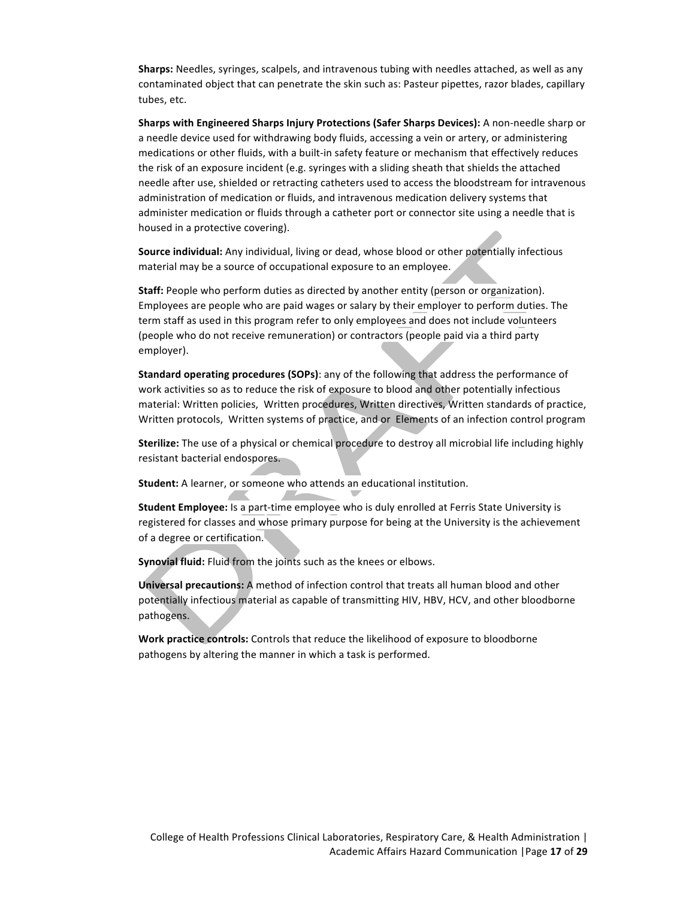**Sharps:** Needles, syringes, scalpels, and intravenous tubing with needles attached, as well as any contaminated object that can penetrate the skin such as: Pasteur pipettes, razor blades, capillary tubes, etc.

**Sharps with Engineered Sharps Injury Protections (Safer Sharps Devices):** A non-needle sharp or a needle device used for withdrawing body fluids, accessing a vein or artery, or administering medications or other fluids, with a built-in safety feature or mechanism that effectively reduces the risk of an exposure incident (e.g. syringes with a sliding sheath that shields the attached needle after use, shielded or retracting catheters used to access the bloodstream for intravenous administration of medication or fluids, and intravenous medication delivery systems that administer medication or fluids through a catheter port or connector site using a needle that is housed in a protective covering).

**Source individual:** Any individual, living or dead, whose blood or other potentially infectious material may be a source of occupational exposure to an employee.

**Staff:** People who perform duties as directed by another entity (person or organization). Employees are people who are paid wages or salary by their employer to perform duties. The term staff as used in this program refer to only employees and does not include volunteers (people who do not receive remuneration) or contractors (people paid via a third party employer).

**Standard operating procedures (SOPs)**: any of the following that address the performance of work activities so as to reduce the risk of exposure to blood and other potentially infectious material: Written policies, Written procedures, Written directives, Written standards of practice, Written protocols, Written systems of practice, and or Elements of an infection control program

**Sterilize:** The use of a physical or chemical procedure to destroy all microbial life including highly resistant bacterial endospores.

**Student:** A learner, or someone who attends an educational institution.

**Student Employee:** Is a part-time employee who is duly enrolled at Ferris State University is registered for classes and whose primary purpose for being at the University is the achievement of a degree or certification.

**Synovial fluid:** Fluid from the joints such as the knees or elbows.

**Universal precautions:** A method of infection control that treats all human blood and other potentially infectious material as capable of transmitting HIV, HBV, HCV, and other bloodborne pathogens.

**Work practice controls:** Controls that reduce the likelihood of exposure to bloodborne pathogens by altering the manner in which a task is performed.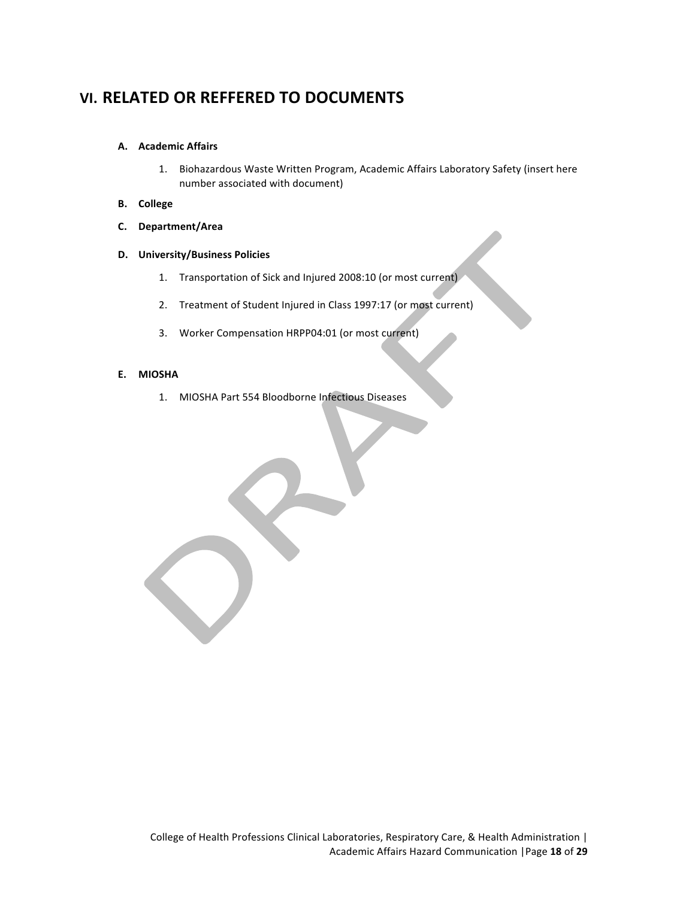# **VI. RELATED OR REFFERED TO DOCUMENTS**

#### **A. Academic Affairs**

- 1. Biohazardous Waste Written Program, Academic Affairs Laboratory Safety (insert here number associated with document)
- **B. College**
- **C. Department/Area**

#### **D. University/Business Policies**

- 1. Transportation of Sick and Injured 2008:10 (or most current)
- 2. Treatment of Student Injured in Class 1997:17 (or most current)
- 3. Worker Compensation HRPP04:01 (or most current)

#### **E. MIOSHA**

1. MIOSHA Part 554 Bloodborne Infectious Diseases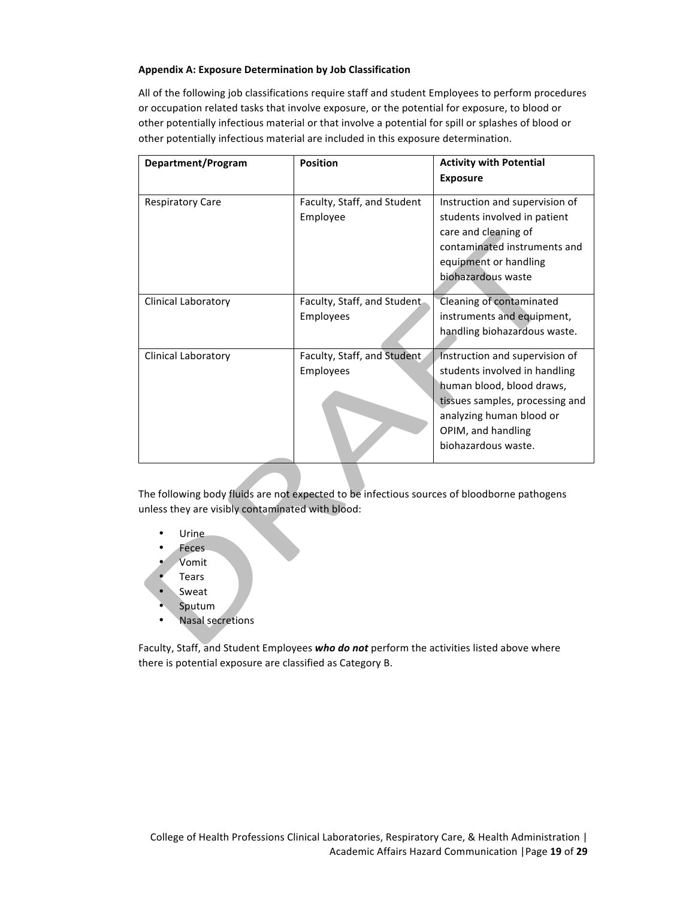#### **Appendix A: Exposure Determination by Job Classification**

All of the following job classifications require staff and student Employees to perform procedures or occupation related tasks that involve exposure, or the potential for exposure, to blood or other potentially infectious material or that involve a potential for spill or splashes of blood or other potentially infectious material are included in this exposure determination.

| Department/Program      | <b>Position</b>                          | <b>Activity with Potential</b><br><b>Exposure</b>                                                                                                                                                        |
|-------------------------|------------------------------------------|----------------------------------------------------------------------------------------------------------------------------------------------------------------------------------------------------------|
| <b>Respiratory Care</b> | Faculty, Staff, and Student<br>Employee  | Instruction and supervision of<br>students involved in patient<br>care and cleaning of<br>contaminated instruments and<br>equipment or handling<br>biohazardous waste                                    |
| Clinical Laboratory     | Faculty, Staff, and Student<br>Employees | Cleaning of contaminated<br>instruments and equipment,<br>handling biohazardous waste.                                                                                                                   |
| Clinical Laboratory     | Faculty, Staff, and Student<br>Employees | Instruction and supervision of<br>students involved in handling<br>human blood, blood draws,<br>tissues samples, processing and<br>analyzing human blood or<br>OPIM, and handling<br>biohazardous waste. |

The following body fluids are not expected to be infectious sources of bloodborne pathogens unless they are visibly contaminated with blood:

- Urine
- **Feces**
- Vomit
- **Tears**
- Sweat
- Sputum
- Nasal secretions

Faculty, Staff, and Student Employees **who do not** perform the activities listed above where there is potential exposure are classified as Category B.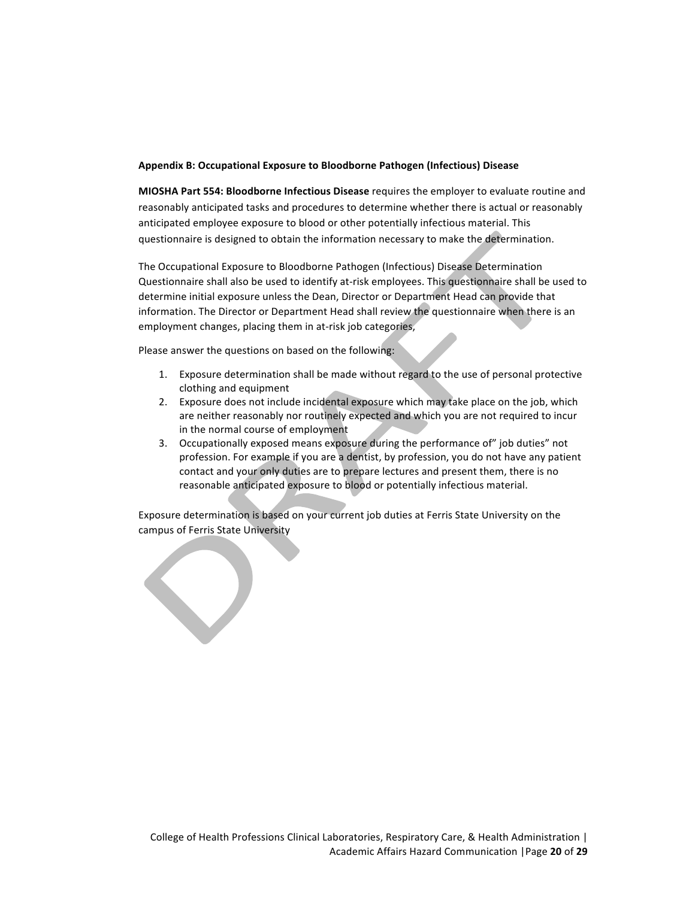#### **Appendix B: Occupational Exposure to Bloodborne Pathogen (Infectious) Disease**

**MIOSHA Part 554: Bloodborne Infectious Disease** requires the employer to evaluate routine and reasonably anticipated tasks and procedures to determine whether there is actual or reasonably anticipated employee exposure to blood or other potentially infectious material. This questionnaire is designed to obtain the information necessary to make the determination.

The Occupational Exposure to Bloodborne Pathogen (Infectious) Disease Determination Questionnaire shall also be used to identify at-risk employees. This questionnaire shall be used to determine initial exposure unless the Dean, Director or Department Head can provide that information. The Director or Department Head shall review the questionnaire when there is an employment changes, placing them in at-risk job categories,

Please answer the questions on based on the following:

- 1. Exposure determination shall be made without regard to the use of personal protective clothing and equipment
- 2. Exposure does not include incidental exposure which may take place on the job, which are neither reasonably nor routinely expected and which you are not required to incur in the normal course of employment
- 3. Occupationally exposed means exposure during the performance of" job duties" not profession. For example if you are a dentist, by profession, you do not have any patient contact and your only duties are to prepare lectures and present them, there is no reasonable anticipated exposure to blood or potentially infectious material.

Exposure determination is based on your current job duties at Ferris State University on the campus of Ferris State University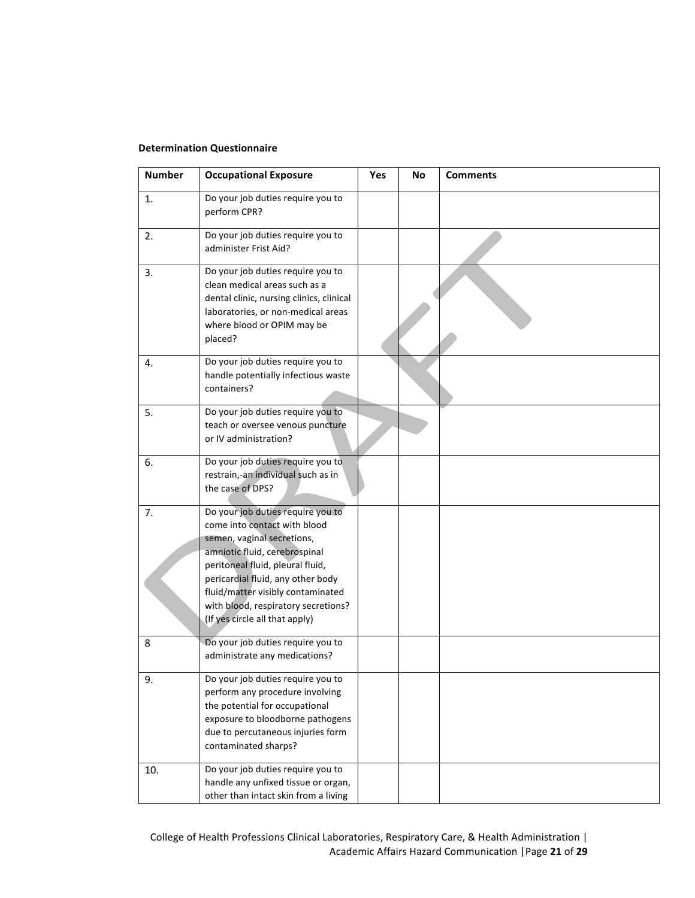#### **Determination Questionnaire**

| <b>Number</b> | <b>Occupational Exposure</b>                                                                                                                                                                                                                                                                                            | Yes | No | <b>Comments</b> |
|---------------|-------------------------------------------------------------------------------------------------------------------------------------------------------------------------------------------------------------------------------------------------------------------------------------------------------------------------|-----|----|-----------------|
| 1.            | Do your job duties require you to<br>perform CPR?                                                                                                                                                                                                                                                                       |     |    |                 |
| 2.            | Do your job duties require you to<br>administer Frist Aid?                                                                                                                                                                                                                                                              |     |    |                 |
| 3.            | Do your job duties require you to<br>clean medical areas such as a<br>dental clinic, nursing clinics, clinical<br>laboratories, or non-medical areas<br>where blood or OPIM may be<br>placed?                                                                                                                           |     |    |                 |
| 4.            | Do your job duties require you to<br>handle potentially infectious waste<br>containers?                                                                                                                                                                                                                                 |     |    |                 |
| 5.            | Do your job duties require you to<br>teach or oversee venous puncture<br>or IV administration?                                                                                                                                                                                                                          |     |    |                 |
| 6.            | Do your job duties require you to<br>restrain,-an individual such as in<br>the case of DPS?                                                                                                                                                                                                                             |     |    |                 |
| 7.            | Do your job duties require you to<br>come into contact with blood<br>semen, vaginal secretions,<br>amniotic fluid, cerebrospinal<br>peritoneal fluid, pleural fluid,<br>pericardial fluid, any other body<br>fluid/matter visibly contaminated<br>with blood, respiratory secretions?<br>(If yes circle all that apply) |     |    |                 |
| 8             | Do your job duties require you to<br>administrate any medications?                                                                                                                                                                                                                                                      |     |    |                 |
| 9.            | Do your job duties require you to<br>perform any procedure involving<br>the potential for occupational<br>exposure to bloodborne pathogens<br>due to percutaneous injuries form<br>contaminated sharps?                                                                                                                 |     |    |                 |
| 10.           | Do your job duties require you to<br>handle any unfixed tissue or organ,<br>other than intact skin from a living                                                                                                                                                                                                        |     |    |                 |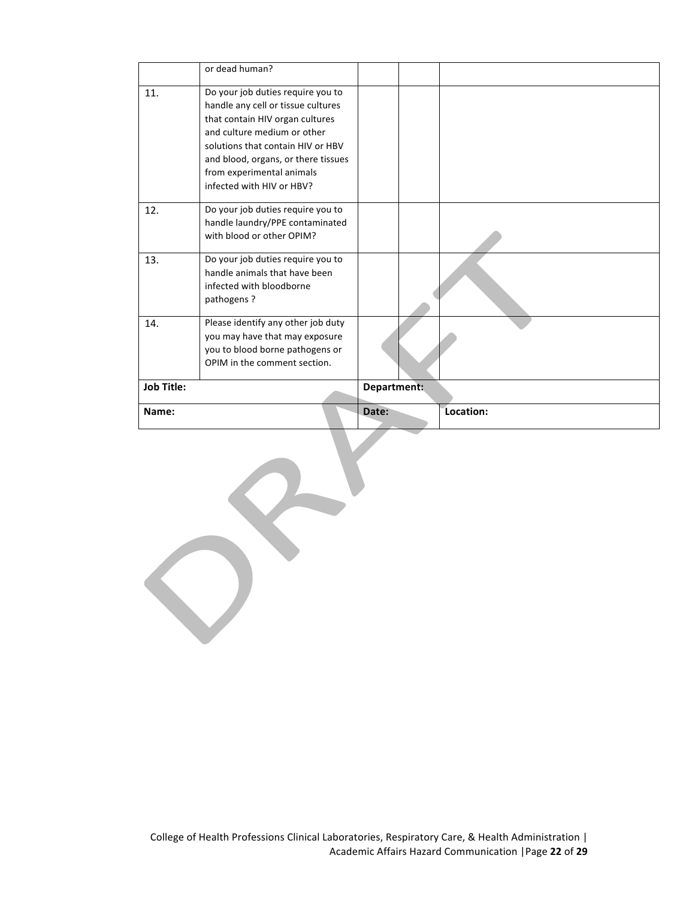|                   | or dead human?                                                                                                                                                                                                                                                                  |             |           |
|-------------------|---------------------------------------------------------------------------------------------------------------------------------------------------------------------------------------------------------------------------------------------------------------------------------|-------------|-----------|
| 11.               | Do your job duties require you to<br>handle any cell or tissue cultures<br>that contain HIV organ cultures<br>and culture medium or other<br>solutions that contain HIV or HBV<br>and blood, organs, or there tissues<br>from experimental animals<br>infected with HIV or HBV? |             |           |
| 12.               | Do your job duties require you to<br>handle laundry/PPE contaminated<br>with blood or other OPIM?                                                                                                                                                                               |             |           |
| 13.               | Do your job duties require you to<br>handle animals that have been<br>infected with bloodborne<br>pathogens?                                                                                                                                                                    |             |           |
| 14.               | Please identify any other job duty<br>you may have that may exposure<br>you to blood borne pathogens or<br>OPIM in the comment section.                                                                                                                                         |             |           |
| <b>Job Title:</b> |                                                                                                                                                                                                                                                                                 | Department: |           |
| Name:             |                                                                                                                                                                                                                                                                                 | Date:       | Location: |
|                   |                                                                                                                                                                                                                                                                                 |             |           |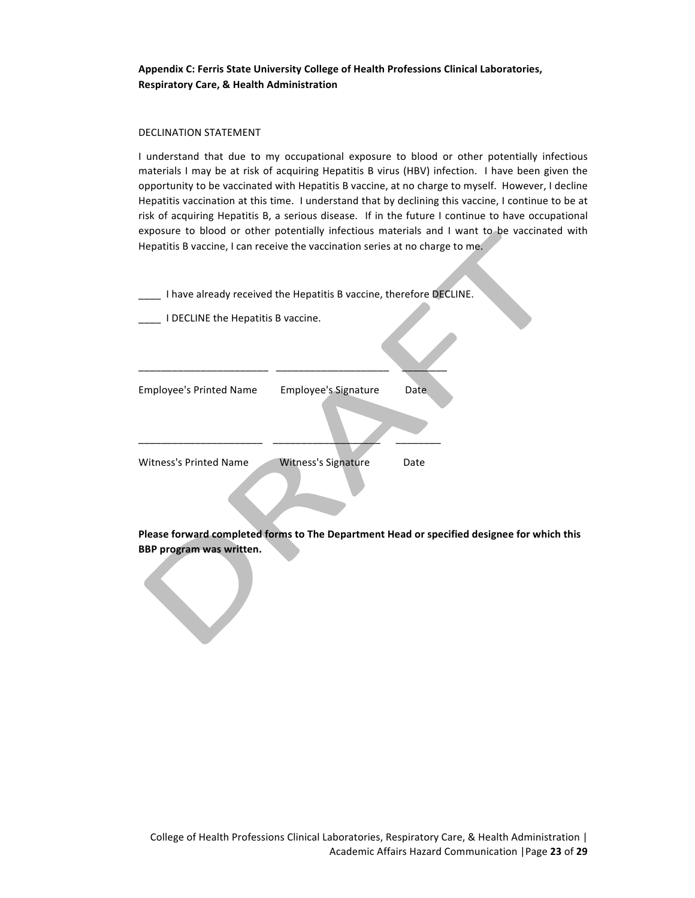Appendix C: Ferris State University College of Health Professions Clinical Laboratories, **Respiratory Care, & Health Administration**

#### DECLINATION STATEMENT

I understand that due to my occupational exposure to blood or other potentially infectious materials I may be at risk of acquiring Hepatitis B virus (HBV) infection. I have been given the opportunity to be vaccinated with Hepatitis B vaccine, at no charge to myself. However, I decline Hepatitis vaccination at this time. I understand that by declining this vaccine, I continue to be at risk of acquiring Hepatitis B, a serious disease. If in the future I continue to have occupational exposure to blood or other potentially infectious materials and I want to be vaccinated with Hepatitis B vaccine, I can receive the vaccination series at no charge to me.

I have already received the Hepatitis B vaccine, therefore DECLINE.

\_\_\_\_ I DECLINE the Hepatitis B vaccine.

| <b>Employee's Printed Name</b> | <b>Employee's Signature</b> | Date |
|--------------------------------|-----------------------------|------|
|                                |                             |      |
| Witness's Printed Name         | <b>Witness's Signature</b>  | Date |
|                                |                             |      |

\_\_\_\_\_\_\_\_\_\_\_\_\_\_\_\_\_\_\_\_\_\_\_ \_\_\_\_\_\_\_\_\_\_\_\_\_\_\_\_\_\_\_\_ \_\_\_\_\_\_\_\_

**Please forward completed forms to The Department Head or specified designee for which this BBP** program was written.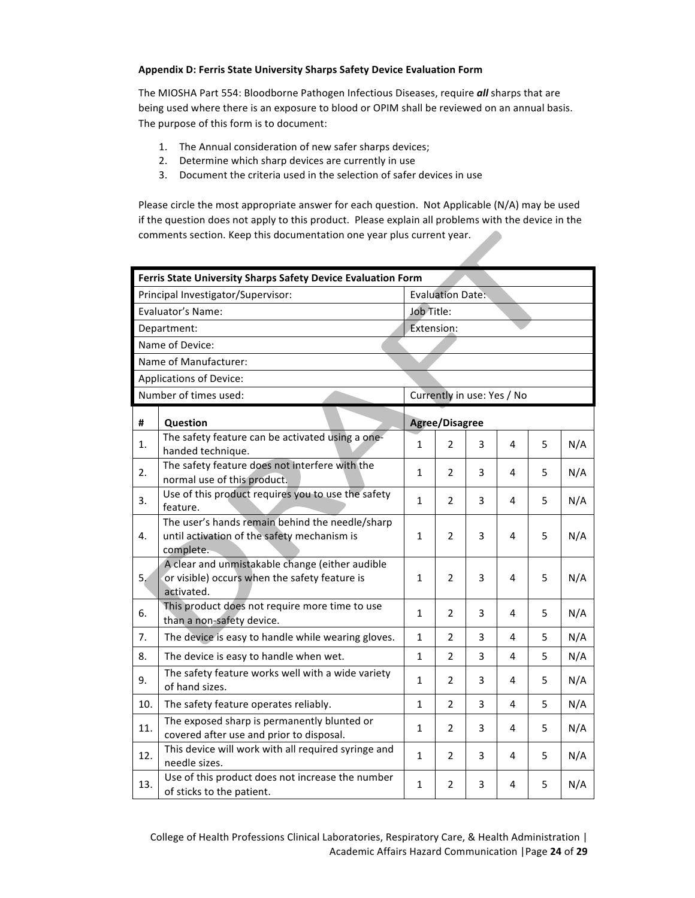#### **Appendix D: Ferris State University Sharps Safety Device Evaluation Form**

The MIOSHA Part 554: Bloodborne Pathogen Infectious Diseases, require *all* sharps that are being used where there is an exposure to blood or OPIM shall be reviewed on an annual basis. The purpose of this form is to document:

- 1. The Annual consideration of new safer sharps devices;
- 2. Determine which sharp devices are currently in use
- 3. Document the criteria used in the selection of safer devices in use

Please circle the most appropriate answer for each question. Not Applicable (N/A) may be used if the question does not apply to this product. Please explain all problems with the device in the comments section. Keep this documentation one year plus current year.

| Ferris State University Sharps Safety Device Evaluation Form |                                                                                                                |              |                         |   |                            |   |     |  |
|--------------------------------------------------------------|----------------------------------------------------------------------------------------------------------------|--------------|-------------------------|---|----------------------------|---|-----|--|
|                                                              | Principal Investigator/Supervisor:                                                                             |              | <b>Evaluation Date:</b> |   |                            |   |     |  |
| Evaluator's Name:                                            |                                                                                                                |              | Job Title:              |   |                            |   |     |  |
|                                                              | Department:                                                                                                    | Extension:   |                         |   |                            |   |     |  |
|                                                              | Name of Device:                                                                                                |              |                         |   |                            |   |     |  |
|                                                              | Name of Manufacturer:                                                                                          |              |                         |   |                            |   |     |  |
|                                                              | <b>Applications of Device:</b>                                                                                 |              |                         |   |                            |   |     |  |
|                                                              | Number of times used:                                                                                          |              |                         |   | Currently in use: Yes / No |   |     |  |
| #                                                            | Question                                                                                                       |              | <b>Agree/Disagree</b>   |   |                            |   |     |  |
| 1.                                                           | The safety feature can be activated using a one-<br>handed technique.                                          | $\mathbf{1}$ | 2                       | 3 | 4                          | 5 | N/A |  |
| 2.                                                           | The safety feature does not interfere with the<br>normal use of this product.                                  | $\mathbf{1}$ | 2                       | 3 | 4                          | 5 | N/A |  |
| 3.                                                           | Use of this product requires you to use the safety<br>feature.                                                 | $\mathbf{1}$ | 2                       | 3 | 4                          | 5 | N/A |  |
| 4.                                                           | The user's hands remain behind the needle/sharp<br>until activation of the safety mechanism is<br>complete.    | $\mathbf{1}$ | $\overline{2}$          | 3 | 4                          | 5 | N/A |  |
| 5.                                                           | A clear and unmistakable change (either audible<br>or visible) occurs when the safety feature is<br>activated. | $\mathbf{1}$ | 2                       | 3 | 4                          | 5 | N/A |  |
| 6.                                                           | This product does not require more time to use<br>than a non-safety device.                                    | $\mathbf{1}$ | 2                       | 3 | 4                          | 5 | N/A |  |
| 7.                                                           | The device is easy to handle while wearing gloves.                                                             | $\mathbf{1}$ | 2                       | 3 | 4                          | 5 | N/A |  |
| 8.                                                           | The device is easy to handle when wet.                                                                         | $\mathbf{1}$ | 2                       | 3 | 4                          | 5 | N/A |  |
| 9.                                                           | The safety feature works well with a wide variety<br>of hand sizes.                                            | $\mathbf{1}$ | $\overline{2}$          | 3 | 4                          | 5 | N/A |  |
| 10.                                                          | The safety feature operates reliably.                                                                          | $\mathbf{1}$ | $\overline{2}$          | 3 | 4                          | 5 | N/A |  |
| 11.                                                          | The exposed sharp is permanently blunted or<br>covered after use and prior to disposal.                        | $\mathbf{1}$ | 2                       | 3 | 4                          | 5 | N/A |  |
| 12.                                                          | This device will work with all required syringe and<br>needle sizes.                                           | $\mathbf{1}$ | $\overline{2}$          | 3 | 4                          | 5 | N/A |  |
| 13.                                                          | Use of this product does not increase the number<br>of sticks to the patient.                                  | $\mathbf{1}$ | 2                       | 3 | 4                          | 5 | N/A |  |

College of Health Professions Clinical Laboratories, Respiratory Care, & Health Administration | Academic Affairs Hazard Communication |Page **24** of **29**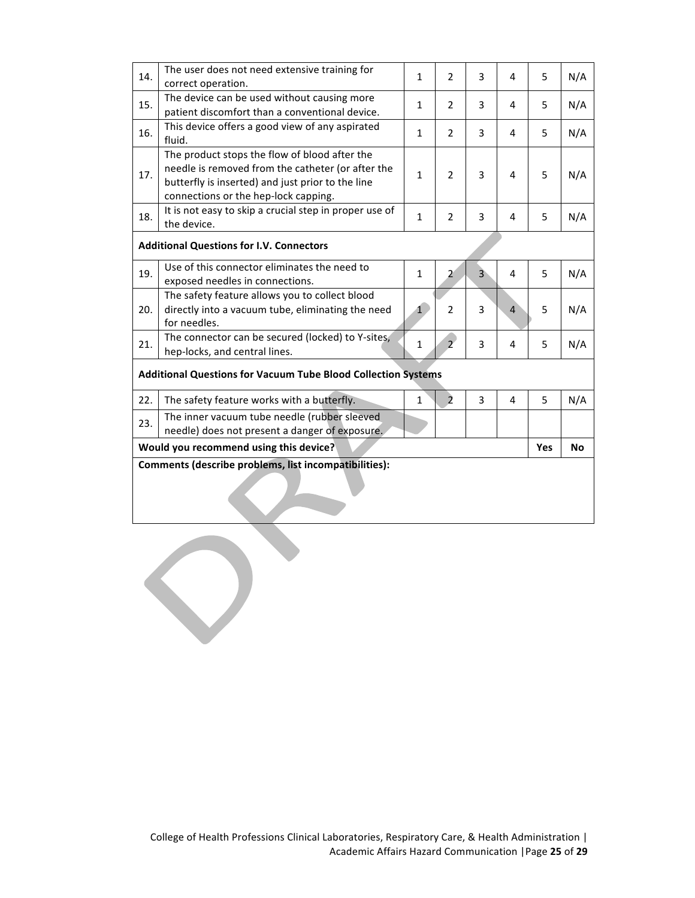| 14.                                                   | The user does not need extensive training for<br>correct operation.                                                                                                                             | $\mathbf{1}$ | $\overline{2}$ | 3              | 4              | 5 | N/A |
|-------------------------------------------------------|-------------------------------------------------------------------------------------------------------------------------------------------------------------------------------------------------|--------------|----------------|----------------|----------------|---|-----|
| 15.                                                   | The device can be used without causing more<br>patient discomfort than a conventional device.                                                                                                   | $\mathbf{1}$ | $\overline{2}$ | 3              | 4              | 5 | N/A |
| 16.                                                   | This device offers a good view of any aspirated<br>fluid.                                                                                                                                       | $\mathbf{1}$ | $\overline{2}$ | 3              | 4              | 5 | N/A |
| 17.                                                   | The product stops the flow of blood after the<br>needle is removed from the catheter (or after the<br>butterfly is inserted) and just prior to the line<br>connections or the hep-lock capping. | $\mathbf{1}$ | $\overline{2}$ | 3              | 4              | 5 | N/A |
| 18.                                                   | It is not easy to skip a crucial step in proper use of<br>the device.                                                                                                                           | $\mathbf{1}$ | $\overline{2}$ | 3              | 4              | 5 | N/A |
|                                                       | <b>Additional Questions for I.V. Connectors</b>                                                                                                                                                 |              |                |                |                |   |     |
| 19.                                                   | Use of this connector eliminates the need to<br>exposed needles in connections.                                                                                                                 | $\mathbf{1}$ | $\overline{2}$ | $\overline{3}$ | 4              | 5 | N/A |
| 20.                                                   | The safety feature allows you to collect blood<br>directly into a vacuum tube, eliminating the need<br>for needles.                                                                             | $\mathbf{1}$ | $\overline{2}$ | 3              | $\overline{4}$ | 5 | N/A |
| 21.                                                   | The connector can be secured (locked) to Y-sites,<br>hep-locks, and central lines.                                                                                                              | $\mathbf{1}$ | $\overline{2}$ | 3              | 4              | 5 | N/A |
|                                                       | <b>Additional Questions for Vacuum Tube Blood Collection Systems</b>                                                                                                                            |              |                |                |                |   |     |
| 22.                                                   | The safety feature works with a butterfly.                                                                                                                                                      | $\mathbf{1}$ | $\overline{2}$ | 3              | 4              | 5 | N/A |
| 23.                                                   | The inner vacuum tube needle (rubber sleeved<br>needle) does not present a danger of exposure.                                                                                                  |              |                |                |                |   |     |
|                                                       | Would you recommend using this device?<br><b>Yes</b><br><b>No</b>                                                                                                                               |              |                |                |                |   |     |
| Comments (describe problems, list incompatibilities): |                                                                                                                                                                                                 |              |                |                |                |   |     |

 $\bigcirc$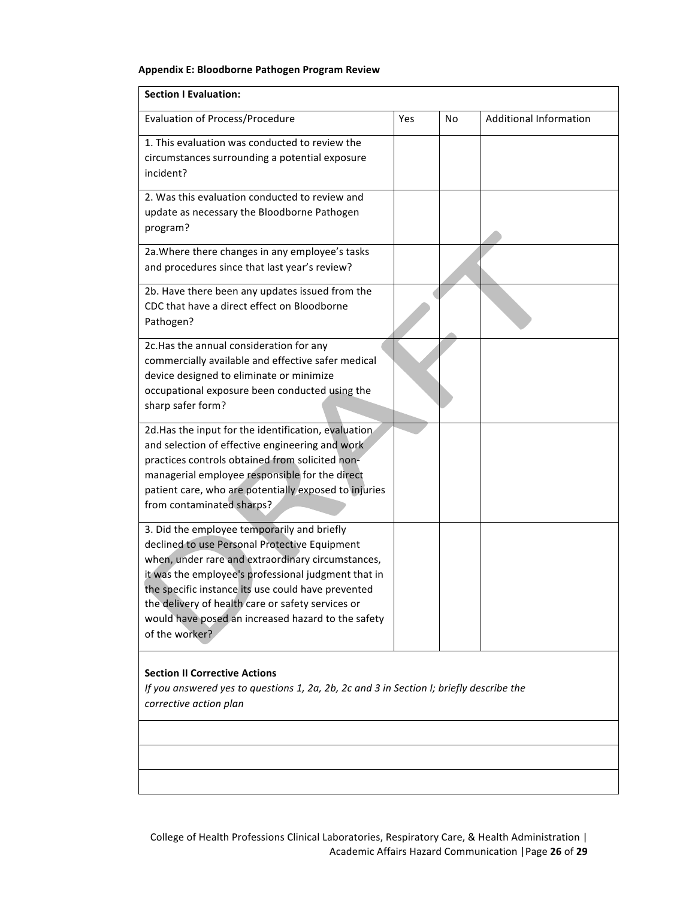## **Appendix E: Bloodborne Pathogen Program Review**

| <b>Section I Evaluation:</b>                                                                                                                                                                                                                                                                                                                                                                |     |           |                               |  |  |  |
|---------------------------------------------------------------------------------------------------------------------------------------------------------------------------------------------------------------------------------------------------------------------------------------------------------------------------------------------------------------------------------------------|-----|-----------|-------------------------------|--|--|--|
| <b>Evaluation of Process/Procedure</b>                                                                                                                                                                                                                                                                                                                                                      | Yes | <b>No</b> | <b>Additional Information</b> |  |  |  |
| 1. This evaluation was conducted to review the<br>circumstances surrounding a potential exposure<br>incident?                                                                                                                                                                                                                                                                               |     |           |                               |  |  |  |
| 2. Was this evaluation conducted to review and<br>update as necessary the Bloodborne Pathogen<br>program?                                                                                                                                                                                                                                                                                   |     |           |                               |  |  |  |
| 2a. Where there changes in any employee's tasks<br>and procedures since that last year's review?                                                                                                                                                                                                                                                                                            |     |           |                               |  |  |  |
| 2b. Have there been any updates issued from the<br>CDC that have a direct effect on Bloodborne<br>Pathogen?                                                                                                                                                                                                                                                                                 |     |           |                               |  |  |  |
| 2c. Has the annual consideration for any<br>commercially available and effective safer medical<br>device designed to eliminate or minimize<br>occupational exposure been conducted using the<br>sharp safer form?                                                                                                                                                                           |     |           |                               |  |  |  |
| 2d. Has the input for the identification, evaluation<br>and selection of effective engineering and work<br>practices controls obtained from solicited non-<br>managerial employee responsible for the direct<br>patient care, who are potentially exposed to injuries<br>from contaminated sharps?                                                                                          |     |           |                               |  |  |  |
| 3. Did the employee temporarily and briefly<br>declined to use Personal Protective Equipment<br>when, under rare and extraordinary circumstances,<br>it was the employee's professional judgment that in<br>the specific instance its use could have prevented<br>the delivery of health care or safety services or<br>would have posed an increased hazard to the safety<br>of the worker? |     |           |                               |  |  |  |
| <b>Section II Corrective Actions</b><br>If you answered yes to questions 1, 2a, 2b, 2c and 3 in Section I; briefly describe the<br>corrective action plan                                                                                                                                                                                                                                   |     |           |                               |  |  |  |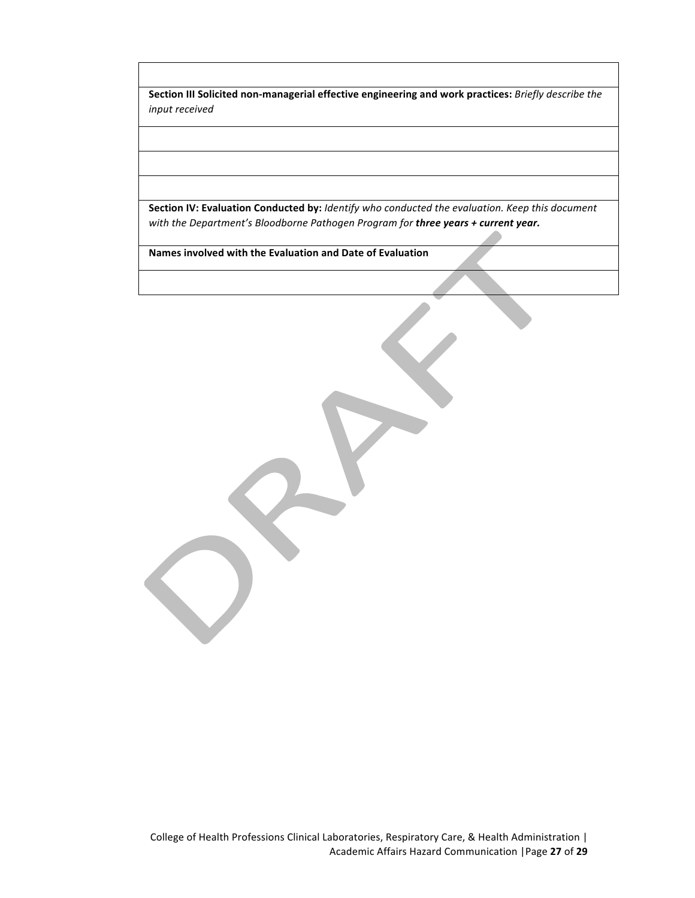**Section III Solicited non-managerial effective engineering and work practices:** Briefly describe the *input received* 

**Section IV: Evaluation Conducted by:** *Identify who conducted the evaluation. Keep this document* with the Department's Bloodborne Pathogen Program for **three years + current year.** 

**Names involved with the Evaluation and Date of Evaluation**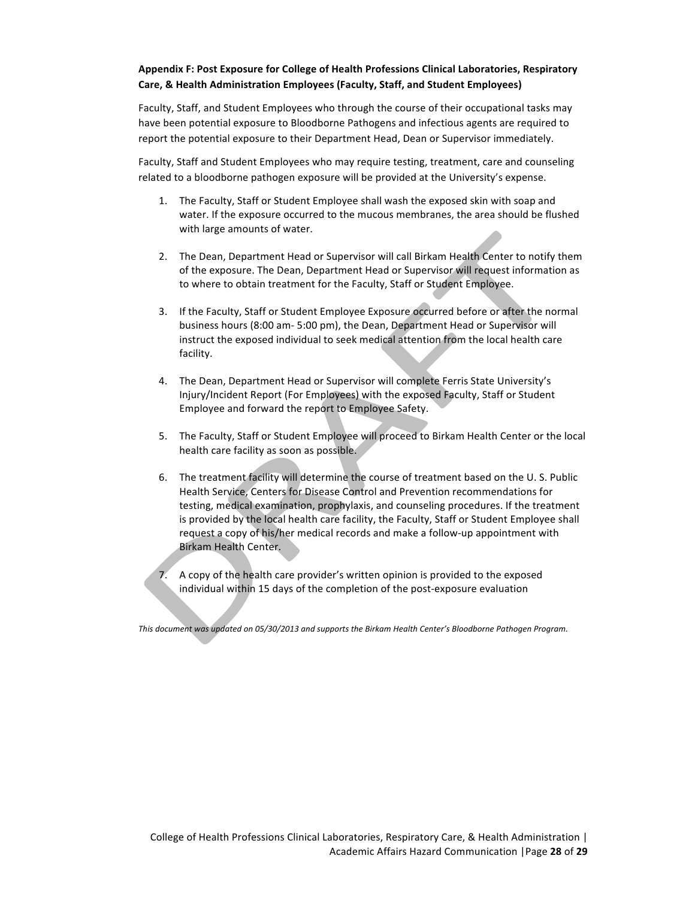# Appendix F: Post Exposure for College of Health Professions Clinical Laboratories, Respiratory **Care, & Health Administration Employees (Faculty, Staff, and Student Employees)**

Faculty, Staff, and Student Employees who through the course of their occupational tasks may have been potential exposure to Bloodborne Pathogens and infectious agents are required to report the potential exposure to their Department Head, Dean or Supervisor immediately.

Faculty, Staff and Student Employees who may require testing, treatment, care and counseling related to a bloodborne pathogen exposure will be provided at the University's expense.

- 1. The Faculty, Staff or Student Employee shall wash the exposed skin with soap and water. If the exposure occurred to the mucous membranes, the area should be flushed with large amounts of water.
- 2. The Dean, Department Head or Supervisor will call Birkam Health Center to notify them of the exposure. The Dean, Department Head or Supervisor will request information as to where to obtain treatment for the Faculty, Staff or Student Employee.
- 3. If the Faculty, Staff or Student Employee Exposure occurred before or after the normal business hours (8:00 am- 5:00 pm), the Dean, Department Head or Supervisor will instruct the exposed individual to seek medical attention from the local health care facility.
- 4. The Dean, Department Head or Supervisor will complete Ferris State University's Injury/Incident Report (For Employees) with the exposed Faculty, Staff or Student Employee and forward the report to Employee Safety.
- 5. The Faculty, Staff or Student Employee will proceed to Birkam Health Center or the local health care facility as soon as possible.
- 6. The treatment facility will determine the course of treatment based on the U. S. Public Health Service, Centers for Disease Control and Prevention recommendations for testing, medical examination, prophylaxis, and counseling procedures. If the treatment is provided by the local health care facility, the Faculty, Staff or Student Employee shall request a copy of his/her medical records and make a follow-up appointment with Birkam Health Center.
- 7. A copy of the health care provider's written opinion is provided to the exposed individual within 15 days of the completion of the post-exposure evaluation

This document was updated on 05/30/2013 and supports the Birkam Health Center's Bloodborne Pathogen Program.